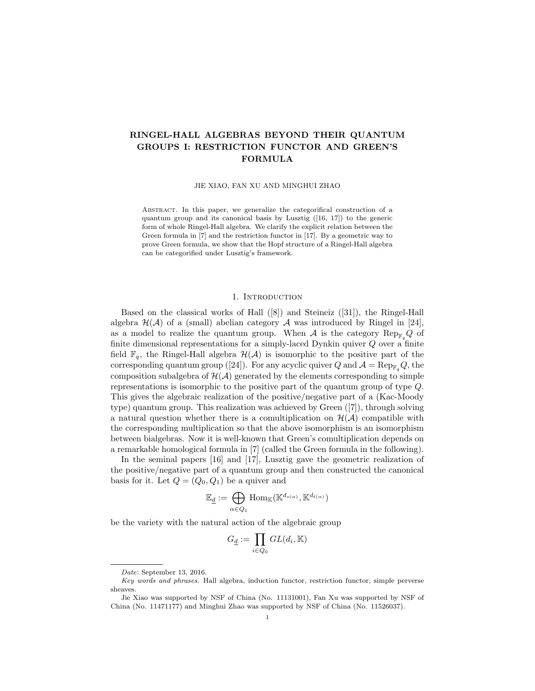# RINGEL-HALL ALGEBRAS BEYOND THEIR QUANTUM GROUPS I: RESTRICTION FUNCTOR AND GREEN'S FORMULA

JIE XIAO, FAN XU AND MINGHUI ZHAO

Abstract. In this paper, we generalize the categorifical construction of a quantum group and its canonical basis by Lusztig ([16, 17]) to the generic form of whole Ringel-Hall algebra. We clarify the explicit relation between the Green formula in [7] and the restriction functor in [17]. By a geometric way to prove Green formula, we show that the Hopf structure of a Ringel-Hall algebra can be categorified under Lusztig's framework.

## 1. INTRODUCTION

Based on the classical works of Hall ([8]) and Steineiz ([31]), the Ringel-Hall algebra  $\mathcal{H}(\mathcal{A})$  of a (small) abelian category  $\mathcal A$  was introduced by Ringel in [24], as a model to realize the quantum group. When A is the category  $\text{Rep}_{\mathbb{F}_q}Q$  of finite dimensional representations for a simply-laced Dynkin quiver  $Q$  over a finite field  $\mathbb{F}_q$ , the Ringel-Hall algebra  $\mathcal{H}(\mathcal{A})$  is isomorphic to the positive part of the corresponding quantum group ([24]). For any acyclic quiver Q and  $\mathcal{A} = \text{Rep}_{\mathbb{F}_q}Q$ , the composition subalgebra of  $\mathcal{H}(\mathcal{A})$  generated by the elements corresponding to simple representations is isomorphic to the positive part of the quantum group of type Q. This gives the algebraic realization of the positive/negative part of a (Kac-Moody type) quantum group. This realization was achieved by Green ([7]), through solving a natural question whether there is a comultiplication on  $\mathcal{H}(\mathcal{A})$  compatible with the corresponding multiplication so that the above isomorphism is an isomorphism between bialgebras. Now it is well-known that Green's comultiplication depends on a remarkable homological formula in [7] (called the Green formula in the following).

In the seminal papers [16] and [17], Lusztig gave the geometric realization of the positive/negative part of a quantum group and then constructed the canonical basis for it. Let  $Q = (Q_0, Q_1)$  be a quiver and

$$
\mathbb{E}_{\underline{d}}:=\bigoplus_{\alpha\in Q_1}\mathrm{Hom}_{\mathbb{K}}(\mathbb{K}^{d_{s(\alpha)}},\mathbb{K}^{d_{t(\alpha)}})
$$

be the variety with the natural action of the algebraic group

$$
G_{\underline{d}} := \prod_{i \in Q_0} GL(d_i, \mathbb{K})
$$

Date: September 13, 2016.

Key words and phrases. Hall algebra, induction functor, restriction functor, simple perverse sheaves.

Jie Xiao was supported by NSF of China (No. 11131001), Fan Xu was supported by NSF of China (No. 11471177) and Minghui Zhao was supported by NSF of China (No. 11526037).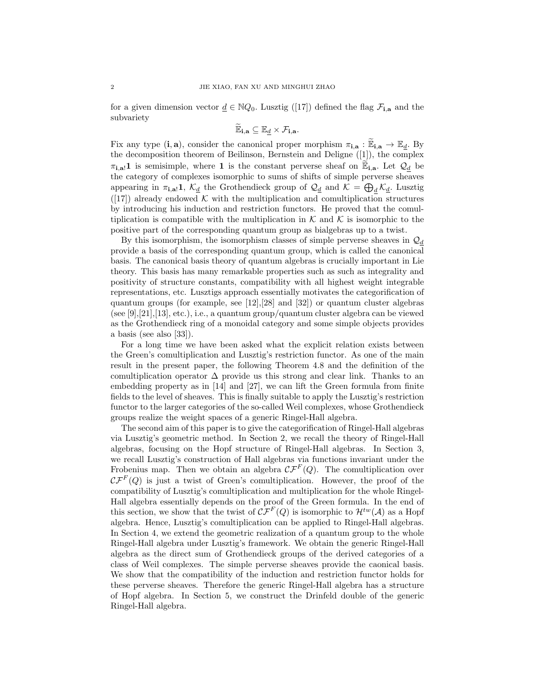for a given dimension vector  $\underline{d} \in \mathbb{N}Q_0$ . Lusztig ([17]) defined the flag  $\mathcal{F}_{i,a}$  and the subvariety

$$
\widetilde{\mathbb{E}}_{\mathbf{i},\mathbf{a}}\subseteq \mathbb{E}_{\underline{d}}\times \mathcal{F}_{\mathbf{i},\mathbf{a}}.
$$

Fix any type  $(i, a)$ , consider the canonical proper morphism  $\pi_{i,a} : \mathbb{E}_{i,a} \to \mathbb{E}_d$ . By the decomposition theorem of Beilinson, Bernstein and Deligne ([1]), the complex  $\pi_{i,a}$ ! is semisimple, where 1 is the constant perverse sheaf on  $\mathbb{E}_{i,a}$ . Let  $\mathcal{Q}_d$  be the category of complexes isomorphic to sums of shifts of simple perverse sheaves appearing in  $\pi_{i,a}$ !,  $\mathcal{K}_{\underline{d}}$  the Grothendieck group of  $\mathcal{Q}_{\underline{d}}$  and  $\mathcal{K} = \bigoplus_{\underline{d}} \mathcal{K}_{\underline{d}}$ . Lusztig  $([17])$  already endowed K with the multiplication and comultiplication structures by introducing his induction and restriction functors. He proved that the comultiplication is compatible with the multiplication in  $K$  and  $K$  is isomorphic to the positive part of the corresponding quantum group as bialgebras up to a twist.

By this isomorphism, the isomorphism classes of simple perverse sheaves in  $\mathcal{Q}_d$ provide a basis of the corresponding quantum group, which is called the canonical basis. The canonical basis theory of quantum algebras is crucially important in Lie theory. This basis has many remarkable properties such as such as integrality and positivity of structure constants, compatibility with all highest weight integrable representations, etc. Lusztigs approach essentially motivates the categorification of quantum groups (for example, see [12],[28] and [32]) or quantum cluster algebras (see [9],[21],[13], etc.), i.e., a quantum group/quantum cluster algebra can be viewed as the Grothendieck ring of a monoidal category and some simple objects provides a basis (see also [33]).

For a long time we have been asked what the explicit relation exists between the Green's comultiplication and Lusztig's restriction functor. As one of the main result in the present paper, the following Theorem 4.8 and the definition of the comultiplication operator  $\Delta$  provide us this strong and clear link. Thanks to an embedding property as in [14] and [27], we can lift the Green formula from finite fields to the level of sheaves. This is finally suitable to apply the Lusztig's restriction functor to the larger categories of the so-called Weil complexes, whose Grothendieck groups realize the weight spaces of a generic Ringel-Hall algebra.

The second aim of this paper is to give the categorification of Ringel-Hall algebras via Lusztig's geometric method. In Section 2, we recall the theory of Ringel-Hall algebras, focusing on the Hopf structure of Ringel-Hall algebras. In Section 3, we recall Lusztig's construction of Hall algebras via functions invariant under the Frobenius map. Then we obtain an algebra  $\mathcal{CF}^F(Q)$ . The comultiplication over  $\mathcal{CF}^F(Q)$  is just a twist of Green's comultiplication. However, the proof of the compatibility of Lusztig's comultiplication and multiplication for the whole Ringel-Hall algebra essentially depends on the proof of the Green formula. In the end of this section, we show that the twist of  $\mathcal{CF}^F(Q)$  is isomorphic to  $\mathcal{H}^{tw}(\mathcal{A})$  as a Hopf algebra. Hence, Lusztig's comultiplication can be applied to Ringel-Hall algebras. In Section 4, we extend the geometric realization of a quantum group to the whole Ringel-Hall algebra under Lusztig's framework. We obtain the generic Ringel-Hall algebra as the direct sum of Grothendieck groups of the derived categories of a class of Weil complexes. The simple perverse sheaves provide the caonical basis. We show that the compatibility of the induction and restriction functor holds for these perverse sheaves. Therefore the generic Ringel-Hall algebra has a structure of Hopf algebra. In Section 5, we construct the Drinfeld double of the generic Ringel-Hall algebra.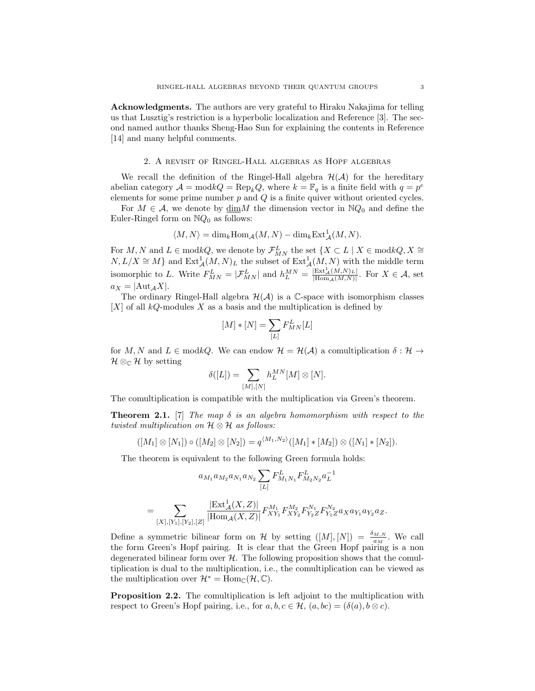Acknowledgments. The authors are very grateful to Hiraku Nakajima for telling us that Lusztig's restriction is a hyperbolic localization and Reference [3]. The second named author thanks Sheng-Hao Sun for explaining the contents in Reference [14] and many helpful comments.

### 2. A revisit of Ringel-Hall algebras as Hopf algebras

We recall the definition of the Ringel-Hall algebra  $\mathcal{H}(\mathcal{A})$  for the hereditary abelian category  $\mathcal{A} = \text{mod } kQ = \text{Rep}_k Q$ , where  $k = \mathbb{F}_q$  is a finite field with  $q = p^e$ elements for some prime number  $p$  and  $Q$  is a finite quiver without oriented cycles.

For  $M \in \mathcal{A}$ , we denote by  $\underline{\dim}M$  the dimension vector in  $\mathbb{N}Q_0$  and define the Euler-Ringel form on  $NQ_0$  as follows:

$$
\langle M, N \rangle = \dim_k \operatorname{Hom}_{\mathcal{A}}(M, N) - \dim_k \operatorname{Ext}^1_{\mathcal{A}}(M, N).
$$

For  $M, N$  and  $L \in \text{mod } kQ$ , we denote by  $\mathcal{F}_{MN}^L$  the set  $\{X \subset L \mid X \in \text{mod } kQ, X \cong \emptyset\}$  $N, L/X \cong M$  and  $\text{Ext}^1_{\mathcal{A}}(M, N)_L$  the subset of  $\text{Ext}^1_{\mathcal{A}}(M, N)$  with the middle term isomorphic to L. Write  $F_{MN}^L = |\mathcal{F}_{MN}^L|$  and  $h_L^{MN} = \frac{|\text{Ext}_{\mathcal{A}}^1(M,N)_L|}{|\text{Hom}_{\mathcal{A}}(M,N)|}$ . For  $X \in \mathcal{A}$ , set  $a_X = |Aut_A X|.$ 

The ordinary Ringel-Hall algebra  $\mathcal{H}(\mathcal{A})$  is a C-space with isomorphism classes  $[X]$  of all  $kQ$ -modules X as a basis and the multiplication is defined by

$$
[M] * [N] = \sum_{[L]} F^{L}_{MN}[L]
$$

for M, N and  $L \in \text{mod } kQ$ . We can endow  $\mathcal{H} = \mathcal{H}(\mathcal{A})$  a comultiplication  $\delta : \mathcal{H} \to$  $\mathcal{H} \otimes_{\mathbb{C}} \mathcal{H}$  by setting

$$
\delta([L])=\sum_{[M],[N]}h_L^{MN}[M]\otimes [N].
$$

The comultiplication is compatible with the multiplication via Green's theorem.

**Theorem 2.1.** [7] The map  $\delta$  is an algebra homomorphism with respect to the twisted multiplication on  $\mathcal{H} \otimes \mathcal{H}$  as follows:

$$
([M_1] \otimes [N_1]) \circ ([M_2] \otimes [N_2]) = q^{\langle M_1, N_2 \rangle} ([M_1] * [M_2]) \otimes ([N_1] * [N_2]).
$$

The theorem is equivalent to the following Green formula holds:

$$
a_{M_1} a_{M_2} a_{N_1} a_{N_2} \sum_{[L]} F_{M_1 N_1}^L F_{M_2 N_2}^L a_L^{-1}
$$
  
= 
$$
\sum_{[X],[Y_1],[Y_2],[Z]} \frac{|\text{Ext}^1_{\mathcal{A}}(X,Z)|}{|\text{Hom}_{\mathcal{A}}(X,Z)|} F_{XY_1}^{M_1} F_{XY_2}^{M_2} F_{Y_2 Z}^{N_1} F_{Y_1 Z}^{N_2} a_X a_{Y_1} a_{Y_2} a_Z.
$$

Define a symmetric bilinear form on H by setting  $([M], [N]) = \frac{\delta_{M,N}}{a_M}$ . We call the form Green's Hopf pairing. It is clear that the Green Hopf pairing is a non degenerated bilinear form over  $H$ . The following proposition shows that the comultiplication is dual to the multiplication, i.e., the comultiplication can be viewed as the multiplication over  $\mathcal{H}^* = \text{Hom}_{\mathbb{C}}(\mathcal{H}, \mathbb{C}).$ 

Proposition 2.2. The comultiplication is left adjoint to the multiplication with respect to Green's Hopf pairing, i.e., for  $a, b, c \in \mathcal{H}$ ,  $(a, bc) = (\delta(a), b \otimes c)$ .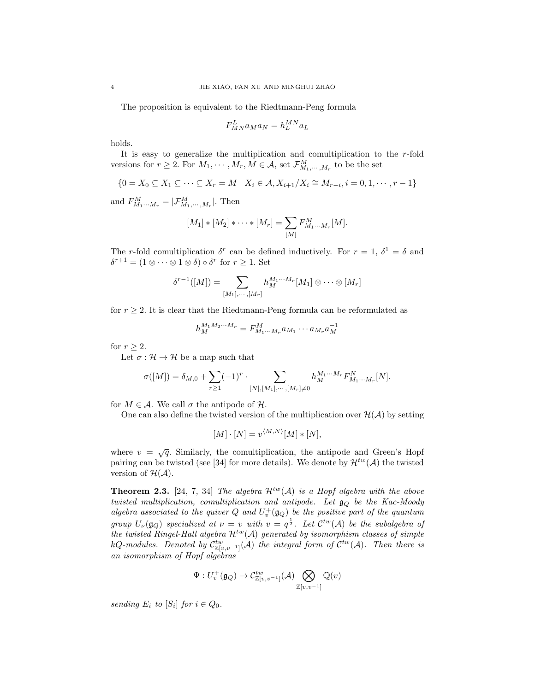The proposition is equivalent to the Riedtmann-Peng formula

$$
F_{MN}^L a_M a_N = h_L^{MN} a_L
$$

holds.

It is easy to generalize the multiplication and comultiplication to the  $r$ -fold versions for  $r \geq 2$ . For  $M_1, \dots, M_r, M \in \mathcal{A}$ , set  $\mathcal{F}_{M_1, \dots, M_r}^M$  to be the set

$$
\{0 = X_0 \subseteq X_1 \subseteq \cdots \subseteq X_r = M \mid X_i \in \mathcal{A}, X_{i+1}/X_i \cong M_{r-i}, i = 0, 1, \cdots, r-1\}
$$

and  $F_{M_1\cdots M_r}^M = |\mathcal{F}_{M_1,\cdots,M_r}^M|$ . Then

$$
[M_1] * [M_2] * \cdots * [M_r] = \sum_{[M]} F_{M_1 \cdots M_r}^M [M].
$$

The r-fold comultiplication  $\delta^r$  can be defined inductively. For  $r = 1$ ,  $\delta^1 = \delta$  and  $\delta^{r+1} = (1 \otimes \cdots \otimes 1 \otimes \delta) \circ \delta^r$  for  $r \geq 1$ . Set

$$
\delta^{r-1}([M]) = \sum_{[M_1],\cdots,[M_r]} h_M^{M_1\cdots M_r}[M_1] \otimes \cdots \otimes [M_r]
$$

for  $r \geq 2$ . It is clear that the Riedtmann-Peng formula can be reformulated as

$$
h_M^{M_1 M_2 \cdots M_r} = F_{M_1 \cdots M_r}^M a_{M_1} \cdots a_{M_r} a_M^{-1}
$$

for  $r \geq 2$ .

Let  $\sigma : \mathcal{H} \to \mathcal{H}$  be a map such that

$$
\sigma([M]) = \delta_{M,0} + \sum_{r \ge 1} (-1)^r \cdot \sum_{[N],[M_1],\cdots,[M_r] \ne 0} h_M^{M_1 \cdots M_r} F_{M_1 \cdots M_r}^N[N].
$$

for  $M \in \mathcal{A}$ . We call  $\sigma$  the antipode of  $\mathcal{H}$ .

One can also define the twisted version of the multiplication over  $\mathcal{H}(\mathcal{A})$  by setting

$$
[M] \cdot [N] = v^{\langle M, N \rangle} [M] * [N],
$$

where  $v = \sqrt{q}$ . Similarly, the comultiplication, the antipode and Green's Hopf pairing can be twisted (see [34] for more details). We denote by  $\mathcal{H}^{tw}(\mathcal{A})$  the twisted version of  $\mathcal{H}(\mathcal{A})$ .

**Theorem 2.3.** [24, 7, 34] The algebra  $\mathcal{H}^{tw}(\mathcal{A})$  is a Hopf algebra with the above twisted multiplication, comultiplication and antipode. Let  $\mathfrak{g}_Q$  be the Kac-Moody algebra associated to the quiver Q and  $U_v^+(\mathfrak{g}_Q)$  be the positive part of the quantum group  $U_{\nu}(\mathfrak{g}_Q)$  specialized at  $\nu = v$  with  $v = q^{\frac{1}{2}}$ . Let  $\mathcal{C}^{tw}(\mathcal{A})$  be the subalgebra of the twisted Ringel-Hall algebra  $\mathcal{H}^{tw}(\mathcal{A})$  generated by isomorphism classes of simple kQ-modules. Denoted by  $\mathcal{C}^{tw}_{\mathbb{Z}[v,v^{-1}]}(\mathcal{A})$  the integral form of  $\mathcal{C}^{tw}(\mathcal{A})$ . Then there is an isomorphism of Hopf algebras

$$
\Psi:U_v^+(\mathfrak{g}_Q)\rightarrow \mathcal{C}^{tw}_{\mathbb{Z}[v,v^{-1}]}(\mathcal{A})\bigotimes_{\mathbb{Z}[v,v^{-1}]}\mathbb{Q}(v)
$$

sending  $E_i$  to  $[S_i]$  for  $i \in Q_0$ .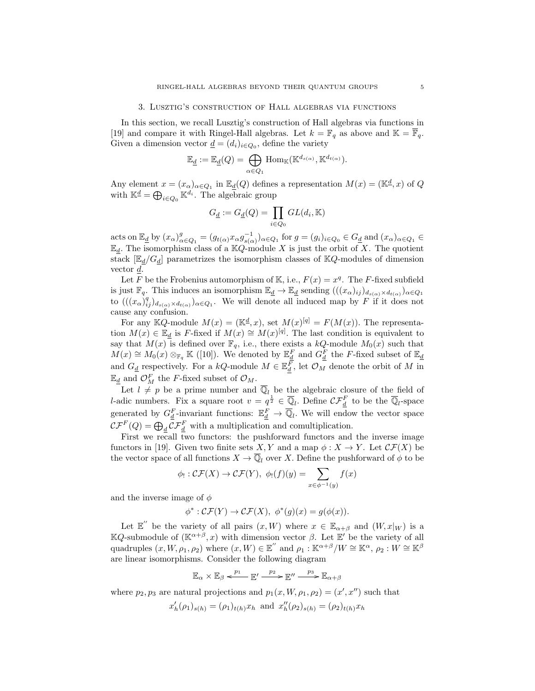#### 3. Lusztig's construction of Hall algebras via functions

In this section, we recall Lusztig's construction of Hall algebras via functions in [19] and compare it with Ringel-Hall algebras. Let  $k = \mathbb{F}_q$  as above and  $\mathbb{K} = \overline{\mathbb{F}}_q$ . Given a dimension vector  $\underline{d} = (d_i)_{i \in Q_0}$ , define the variety

$$
\mathbb{E}_{\underline{d}} := \mathbb{E}_{\underline{d}}(Q) = \bigoplus_{\alpha \in Q_1} \mathrm{Hom}_{\mathbb{K}}(\mathbb{K}^{d_{s(\alpha)}}, \mathbb{K}^{d_{t(\alpha)}}).
$$

Any element  $x = (x_{\alpha})_{\alpha \in Q_1}$  in  $\mathbb{E}_{\underline{d}}(Q)$  defines a representation  $M(x) = (\mathbb{K}^{\underline{d}}, x)$  of  $Q$ with  $\mathbb{K}^{\underline{d}} = \bigoplus_{i \in Q_0} \mathbb{K}^{d_i}$ . The algebraic group

$$
G_{\underline{d}}:=G_{\underline{d}}(Q)=\prod_{i\in Q_0}GL(d_i,\mathbb K)
$$

acts on  $\mathbb{E}_{\underline{d}}$  by  $(x_{\alpha})_{\alpha \in Q_1}^g = (g_{t(\alpha)} x_{\alpha} g_{s(\alpha)}^{-1})_{\alpha \in Q_1}$  for  $g = (g_i)_{i \in Q_0} \in G_{\underline{d}}$  and  $(x_{\alpha})_{\alpha \in Q_1} \in G$  $\mathbb{E}_d$ . The isomorphism class of a KQ-module X is just the orbit of X. The quotient stack  $[\mathbb{E}_d/G_d]$  parametrizes the isomorphism classes of KQ-modules of dimension vector d.

Let F be the Frobenius automorphism of K, i.e.,  $F(x) = x^q$ . The F-fixed subfield is just  $\mathbb{F}_q$ . This induces an isomorphism  $\mathbb{E}_{\underline{d}} \to \mathbb{E}_{\underline{d}}$  sending  $(((x_{\alpha})_{ij})_{d_{s(\alpha)} \times d_{t(\alpha)}})_{\alpha \in Q_1}$ to  $(((x_{\alpha})_{ij}^q)_{d_{s(\alpha)} \times d_{t(\alpha)}})_{\alpha \in Q_1}$ . We will denote all induced map by F if it does not cause any confusion.

For any KQ-module  $M(x) = (\mathbb{K}^d, x)$ , set  $M(x)^{[q]} = F(M(x))$ . The representation  $M(x) \in \mathbb{E}_d$  is F-fixed if  $M(x) \cong M(x)^{[q]}$ . The last condition is equivalent to say that  $M(x)$  is defined over  $\mathbb{F}_q$ , i.e., there exists a kQ-module  $M_0(x)$  such that  $M(x) \cong M_0(x) \otimes_{\mathbb{F}_q} \mathbb{K}$  ([10]). We denoted by  $\mathbb{E}_{d}^F$  and  $G_d^F$  the F-fixed subset of  $\mathbb{E}_{d}$ and  $G_{\underline{d}}$  respectively. For a kQ-module  $M \in \mathbb{E}_{\underline{d}}^{\overline{F}}$ , let  $\mathcal{O}_M$  denote the orbit of M in  $\mathbb{E}_{\underline{d}}$  and  $\mathcal{O}_M^F$  the F-fixed subset of  $\mathcal{O}_M$ .

Let  $l \neq p$  be a prime number and  $\overline{\mathbb{Q}}_l$  be the algebraic closure of the field of *l*-adic numbers. Fix a square root  $v = q^{\frac{1}{2}} \in \overline{\mathbb{Q}}_l$ . Define  $\mathcal{CF}_{d}^F$  to be the  $\overline{\mathbb{Q}}_l$ -space generated by  $G_{\underline{d}}^F$ -invariant functions:  $\mathbb{E}_{\underline{d}}^F \to \overline{\mathbb{Q}}_l$ . We will endow the vector space  $\mathcal{CF}^F(Q) = \bigoplus_d \mathcal{CF}_d^F$  with a multiplication and comultiplication.

First we recall two functors: the pushforward functors and the inverse image functors in [19]. Given two finite sets X, Y and a map  $\phi: X \to Y$ . Let  $\mathcal{CF}(X)$  be the vector space of all functions  $X \to \mathbb{Q}_l$  over X. Define the pushforward of  $\phi$  to be

$$
\phi_!: \mathcal{CF}(X) \to \mathcal{CF}(Y), \ \phi_!(f)(y) = \sum_{x \in \phi^{-1}(y)} f(x)
$$

and the inverse image of  $\phi$ 

$$
\phi^*: \mathcal{CF}(Y) \to \mathcal{CF}(X), \ \phi^*(g)(x) = g(\phi(x)).
$$

Let  $\mathbb{E}$ <sup>"</sup> be the variety of all pairs  $(x, W)$  where  $x \in \mathbb{E}_{\alpha+\beta}$  and  $(W, x|_W)$  is a KQ-submodule of  $(K^{\alpha+\beta}, x)$  with dimension vector β. Let E' be the variety of all quadruples  $(x, W, \rho_1, \rho_2)$  where  $(x, W) \in \mathbb{E}^{\prime\prime}$  and  $\rho_1 : \mathbb{K}^{\alpha+\beta}/W \cong \mathbb{K}^{\alpha}, \rho_2 : W \cong \mathbb{K}^{\beta}$ are linear isomorphisms. Consider the following diagram

$$
\mathbb{E}_\alpha\times\mathbb{E}_\beta\stackrel{p_1}{\longleftarrow}\mathbb{E}'\stackrel{p_2}{\longrightarrow}\mathbb{E}''\stackrel{p_3}{\longrightarrow}\mathbb{E}_{\alpha+\beta}
$$

where  $p_2, p_3$  are natural projections and  $p_1(x, W, \rho_1, \rho_2) = (x', x'')$  such that

$$
x'_{h}(\rho_{1})_{s(h)} = (\rho_{1})_{t(h)} x_{h}
$$
 and  $x''_{h}(\rho_{2})_{s(h)} = (\rho_{2})_{t(h)} x_{h}$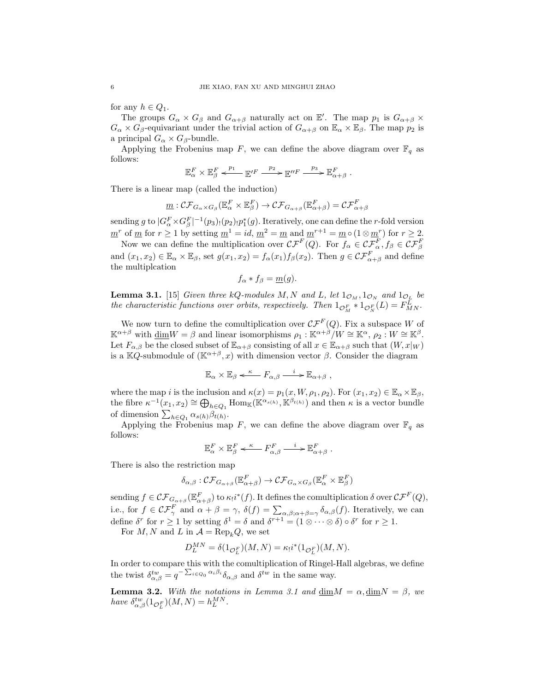for any  $h \in Q_1$ .

The groups  $G_{\alpha} \times G_{\beta}$  and  $G_{\alpha+\beta}$  naturally act on  $\mathbb{E}'$ . The map  $p_1$  is  $G_{\alpha+\beta} \times$  $G_{\alpha} \times G_{\beta}$ -equivariant under the trivial action of  $G_{\alpha+\beta}$  on  $\mathbb{E}_{\alpha} \times \mathbb{E}_{\beta}$ . The map  $p_2$  is a principal  $G_{\alpha} \times G_{\beta}$ -bundle.

Applying the Frobenius map F, we can define the above diagram over  $\mathbb{F}_q$  as follows:

$$
\mathbb{E}^F_\alpha\times\mathbb{E}^F_\beta\overset{p_1}{\longleftarrow}\mathbb{E}^{\prime F}\overset{p_2}{\longrightarrow}\mathbb{E}^{\prime F}\overset{p_3}{\longrightarrow}\mathbb{E}^F_{\alpha+\beta}.
$$

There is a linear map (called the induction)

$$
\underline{m}: \mathcal{CF}_{G_{\alpha} \times G_{\beta}}(\mathbb{E}_{\alpha}^F \times \mathbb{E}_{\beta}^F) \to \mathcal{CF}_{G_{\alpha+\beta}}(\mathbb{E}_{\alpha+\beta}^F) = \mathcal{CF}_{\alpha+\beta}^F
$$

sending g to  $|G_{\alpha}^F \times G_{\beta}^F|^{-1}(p_3)$  ( $(p_2)$ ,  $p_1^*(g)$ ). Iteratively, one can define the r-fold version  $m^r$  of m for  $r \ge 1$  by setting  $m^1 = id$ ,  $m^2 = m$  and  $m^{r+1} = m \circ (1 \otimes m^r)$  for  $r \ge 2$ .

Now we can define the multiplication over  $\mathcal{CF}^F(Q)$ . For  $f_\alpha \in \mathcal{CF}^F_\alpha$ ,  $f_\beta \in \mathcal{CF}^F_\beta$ and  $(x_1, x_2) \in \mathbb{E}_{\alpha} \times \mathbb{E}_{\beta}$ , set  $g(x_1, x_2) = f_{\alpha}(x_1) f_{\beta}(x_2)$ . Then  $g \in \mathcal{CF}_{\alpha+\beta}^F$  and define the multiplcation

$$
f_{\alpha} * f_{\beta} = \underline{m}(g).
$$

**Lemma 3.1.** [15] Given three kQ-modules M, N and L, let  $1_{\mathcal{O}_M}$ ,  $1_{\mathcal{O}_N}$  and  $1_{\mathcal{O}_L}$  be the characteristic functions over orbits, respectively. Then  $1_{\mathcal{O}_M^F} * 1_{\mathcal{O}_N^F}(L) = F_{MN}^L$ .

We now turn to define the comultiplication over  $\mathcal{CF}^F(Q)$ . Fix a subspace W of  $\mathbb{K}^{\alpha+\beta}$  with  $\underline{\dim}W = \beta$  and linear isomorphisms  $\rho_1 : \mathbb{K}^{\alpha+\beta}/W \cong \mathbb{K}^{\alpha}, \rho_2 : W \cong \mathbb{K}^{\beta}$ . Let  $F_{\alpha,\beta}$  be the closed subset of  $\mathbb{E}_{\alpha+\beta}$  consisting of all  $x \in \mathbb{E}_{\alpha+\beta}$  such that  $(W, x|_W)$ is a KQ-submodule of  $(\mathbb{K}^{\alpha+\beta}, x)$  with dimension vector  $\beta$ . Consider the diagram

$$
\mathbb{E}_{\alpha} \times \mathbb{E}_{\beta} \xleftarrow{\kappa} F_{\alpha,\beta} \xrightarrow{i} \mathbb{E}_{\alpha+\beta} ,
$$

where the map i is the inclusion and  $\kappa(x) = p_1(x, W, \rho_1, \rho_2)$ . For  $(x_1, x_2) \in \mathbb{E}_{\alpha} \times \mathbb{E}_{\beta}$ , the fibre  $\kappa^{-1}(x_1, x_2) \cong \bigoplus_{h \in Q_1} \text{Hom}_{\mathbb{K}}(\mathbb{K}^{\alpha_{s(h)}}, \mathbb{K}^{\beta_{t(h)}})$  and then  $\kappa$  is a vector bundle of dimension  $\sum_{h \in Q_1} \alpha_{s(h)} \beta_{t(h)}$ .

Applying the Frobenius map F, we can define the above diagram over  $\mathbb{F}_q$  as follows:

$$
\mathbb{E}^F_\alpha \times \mathbb{E}^F_\beta \xleftarrow{\kappa} F^F_{\alpha,\beta} \xrightarrow{i} \mathbb{E}^F_{\alpha+\beta} .
$$

There is also the restriction map

$$
\delta_{\alpha,\beta} : \mathcal{CF}_{G_{\alpha+\beta}}(\mathbb{E}^F_{\alpha+\beta}) \to \mathcal{CF}_{G_{\alpha} \times G_{\beta}}(\mathbb{E}^F_{\alpha} \times \mathbb{E}^F_{\beta})
$$

sending  $f \in \mathcal{CF}_{G_{\alpha+\beta}}(\mathbb{E}^F_{\alpha+\beta})$  to  $\kappa_!i^*(f)$ . It defines the comultiplication  $\delta$  over  $\mathcal{CF}^F(Q)$ , i.e., for  $f \in \mathcal{CF}_{\gamma}^F$  and  $\alpha + \beta = \gamma$ ,  $\delta(f) = \sum_{\alpha,\beta;\alpha+\beta=\gamma} \delta_{\alpha,\beta}(f)$ . Iteratively, we can define  $\delta^r$  for  $r \ge 1$  by setting  $\delta^1 = \delta$  and  $\delta^{r+1} = (1 \otimes \cdots \otimes \delta) \circ \delta^r$  for  $r \ge 1$ .

For M, N and L in  $A = \text{Rep}_k Q$ , we set

$$
D_L^{MN} = \delta(1_{\mathcal{O}_L^F})(M, N) = \kappa_! i^*(1_{\mathcal{O}_L^F})(M, N).
$$

In order to compare this with the comultiplication of Ringel-Hall algebras, we define the twist  $\delta_{\alpha,\beta}^{tw} = q^{-\sum_{i\in Q_0} \alpha_i \beta_i} \delta_{\alpha,\beta}$  and  $\delta^{tw}$  in the same way.

**Lemma 3.2.** With the notations in Lemma 3.1 and  $\dim M = \alpha$ ,  $\dim N = \beta$ , we have  $\delta_{\alpha,\beta}^{tw}(1_{\mathcal{O}_L^F})(M,N) = h_L^{MN}$ .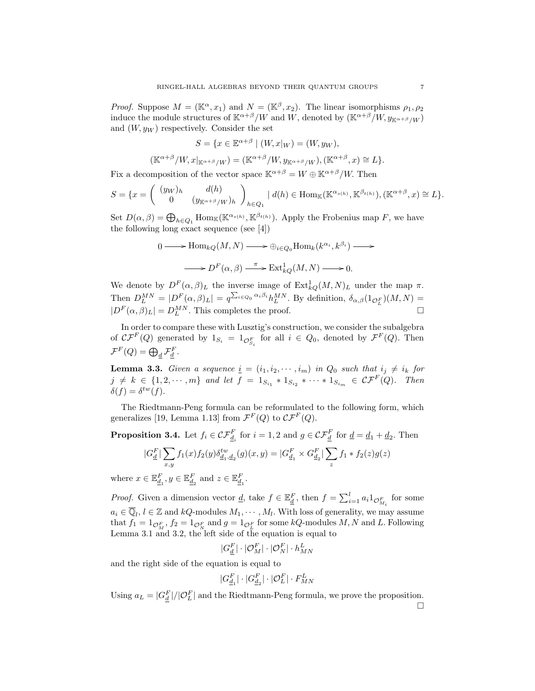*Proof.* Suppose  $M = (\mathbb{K}^{\alpha}, x_1)$  and  $N = (\mathbb{K}^{\beta}, x_2)$ . The linear isomorphisms  $\rho_1, \rho_2$ induce the module structures of  $\mathbb{K}^{\alpha+\beta}/W$  and W, denoted by  $(\mathbb{K}^{\alpha+\beta}/W, y_{\mathbb{K}^{\alpha+\beta}/W})$ and  $(W, y_W)$  respectively. Consider the set

$$
S = \{ x \in \mathbb{E}^{\alpha + \beta} \mid (W, x|_W) = (W, y_W),
$$
  

$$
(\mathbb{K}^{\alpha + \beta}/W, x|_{\mathbb{K}^{\alpha + \beta}/W}) = (\mathbb{K}^{\alpha + \beta}/W, y_{\mathbb{K}^{\alpha + \beta}/W}), (\mathbb{K}^{\alpha + \beta}, x) \cong L \}.
$$

Fix a decomposition of the vector space  $\mathbb{K}^{\alpha+\beta} = W \oplus \mathbb{K}^{\alpha+\beta}/W$ . Then

$$
S = \{x = \begin{pmatrix} (y_W)_h & d(h) \\ 0 & (y_{\mathbb{K}^{\alpha+\beta}/W})_h \end{pmatrix}_{h \in Q_1} \mid d(h) \in \text{Hom}_{\mathbb{K}}(\mathbb{K}^{\alpha_{s(h)}}, \mathbb{K}^{\beta_{t(h)}}), (\mathbb{K}^{\alpha+\beta}, x) \cong L\}.
$$

Set  $D(\alpha, \beta) = \bigoplus_{h \in Q_1} \text{Hom}_{\mathbb{K}}(\mathbb{K}^{\alpha_{s(h)}}, \mathbb{K}^{\beta_{t(h)}})$ . Apply the Frobenius map F, we have the following long exact sequence (see [4])

$$
0 \longrightarrow \text{Hom}_{kQ}(M, N) \longrightarrow \bigoplus_{i \in Q_0} \text{Hom}_k(k^{\alpha_i}, k^{\beta_i}) \longrightarrow
$$

$$
\longrightarrow D^F(\alpha, \beta) \longrightarrow \text{Ext}^1_{kQ}(M, N) \longrightarrow 0.
$$

We denote by  $D^F(\alpha, \beta)_L$  the inverse image of  $\text{Ext}_{kQ}^1(M, N)_L$  under the map  $\pi$ . Then  $D_L^{MN} = |D_F(\alpha, \beta)_L| = q^{\sum_{i \in Q_0} \alpha_i \beta_i} h_L^{MN}$ . By definition,  $\delta_{\alpha, \beta}(1_{\mathcal{O}_L^F})(M, N) =$  $|D^F(\alpha, \beta)_L| = D_L^{MN}$ . This completes the proof.

In order to compare these with Lusztig's construction, we consider the subalgebra of  $\mathcal{CF}^F(Q)$  generated by  $1_{S_i} = 1_{\mathcal{O}_{S_i}^F}$  for all  $i \in Q_0$ , denoted by  $\mathcal{F}^F(Q)$ . Then  $\mathcal{F}^F(Q) = \bigoplus_{\underline{d}} \mathcal{F}_{\underline{d}}^F.$ 

**Lemma 3.3.** Given a sequence  $\underline{i} = (i_1, i_2, \cdots, i_m)$  in  $Q_0$  such that  $i_j \neq i_k$  for  $j \neq k \in \{1, 2, \dots, m\}$  and let  $f = 1_{S_{i_1}} * 1_{S_{i_2}} * \dots * 1_{S_{i_m}} \in \mathcal{CF}^F(Q)$ . Then  $\delta(f) = \delta^{tw}(f).$ 

The Riedtmann-Peng formula can be reformulated to the following form, which generalizes [19, Lemma 1.13] from  $\mathcal{F}^F(Q)$  to  $\mathcal{CF}^F(Q)$ .

**Proposition 3.4.** Let  $f_i \in \mathcal{CF}_{\underline{d}_i}^F$  for  $i = 1, 2$  and  $g \in \mathcal{CF}_{\underline{d}}^F$  for  $\underline{d} = \underline{d}_1 + \underline{d}_2$ . Then

$$
|G_{\underline{d}}^F| \sum_{x,y} f_1(x) f_2(y) \delta_{\underline{d}_1, \underline{d}_2}^{tw}(g)(x, y) = |G_{\underline{d}_1}^F \times G_{\underline{d}_2}^F| \sum_z f_1 * f_2(z) g(z)
$$
  

$$
r \in \mathbb{R}^F, \quad u \in \mathbb{R}^F \text{ and } z \in \mathbb{R}^F
$$

where  $x \in \mathbb{E}_{\underline{d}_1}^F, y \in \mathbb{E}_{\underline{d}_2}^F$  and  $z \in \mathbb{E}_{\underline{d}_1}^F$ . *Proof.* Given a dimension vector <u>d</u>, take  $f \in \mathbb{E}_{\frac{d}{a}}^F$ , then  $f = \sum_{i=1}^l a_i 1_{\mathcal{O}_{M_i}^F}$  for some

 $a_i \in \overline{\mathbb{Q}}_l, l \in \mathbb{Z}$  and  $kQ$ -modules  $M_1, \cdots, M_l$ . With loss of generality, we may assume that  $f_1 = 1_{\mathcal{O}_M^F}$ ,  $f_2 = 1_{\mathcal{O}_N^F}$  and  $g = 1_{\mathcal{O}_L^F}$  for some  $kQ$ -modules  $M, N$  and  $L$ . Following Lemma 3.1 and 3.2, the left side of the equation is equal to

$$
|G_{\underline{d}}^F|\cdot|\mathcal{O}_M^F|\cdot|\mathcal{O}_N^F|\cdot h_{MN}^L
$$

and the right side of the equation is equal to

$$
|G_{\underline{d}_1}^F|\cdot |G_{\underline{d}_2}^F|\cdot |{\mathcal{O}}_L^F|\cdot F_{MN}^L
$$

Using  $a_L = |G_d^F|/|\mathcal{O}_L^F|$  and the Riedtmann-Peng formula, we prove the proposition.  $\Box$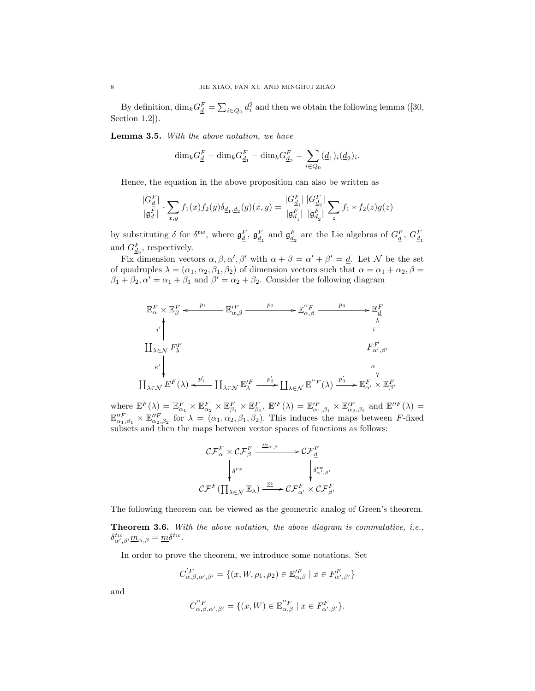By definition,  $\dim_k G_{\underline{d}}^F = \sum_{i \in Q_0} d_i^2$  and then we obtain the following lemma ([30, Section 1.2]).

Lemma 3.5. With the above notation, we have

$$
\dim_k G_{\underline{d}}^F - \dim_k G_{\underline{d}_1}^F - \dim_k G_{\underline{d}_2}^F = \sum_{i \in Q_0} (\underline{d}_1)_i (\underline{d}_2)_i.
$$

Hence, the equation in the above proposition can also be written as

$$
\frac{|G_{\underline{d}}^F|}{|\mathfrak{g}_{\underline{d}}^F|} \cdot \sum_{x,y} f_1(x) f_2(y) \delta_{\underline{d}_1, \underline{d}_2}(g)(x,y) = \frac{|G_{\underline{d}_1}^F|}{|\mathfrak{g}_{\underline{d}_1}^F|} \frac{|G_{\underline{d}_2}^F|}{|\mathfrak{g}_{\underline{d}_2}^F|} \sum_z f_1 * f_2(z) g(z)
$$

by substituting  $\delta$  for  $\delta^{tw}$ , where  $\mathfrak{g}_{\underline{d}}^F$ ,  $\mathfrak{g}_{\underline{d}_1}^F$  and  $\mathfrak{g}_{\underline{d}_2}^F$  are the Lie algebras of  $G_{\underline{d}}^F$ ,  $G_{\underline{d}_1}^F$ and  $G_{\underline{d}_2}^F$ , respectively.

Fix dimension vectors  $\alpha, \beta, \alpha', \beta'$  with  $\alpha + \beta = \alpha' + \beta' = d$ . Let N be the set of quadruples  $\lambda = (\alpha_1, \alpha_2, \beta_1, \beta_2)$  of dimension vectors such that  $\alpha = \alpha_1 + \alpha_2, \beta =$  $\beta_1 + \beta_2$ ,  $\alpha' = \alpha_1 + \beta_1$  and  $\beta' = \alpha_2 + \beta_2$ . Consider the following diagram

$$
\mathbb{E}_{\alpha}^{F} \times \mathbb{E}_{\beta}^{F} \xleftarrow{p_{1}} \mathbb{E}_{\alpha,\beta}^{'F} \xrightarrow{p_{2}} \mathbb{E}_{\alpha,\beta}^{'F} \xrightarrow{p_{3}} \mathbb{E}_{\frac{d}{d}}
$$
\n
$$
\downarrow \qquad \qquad i \qquad \qquad i \qquad \qquad i \qquad \qquad i \qquad \qquad i \qquad \qquad i \qquad \qquad i \qquad \qquad i \qquad \qquad i \qquad \qquad i \qquad \qquad i \qquad \qquad i \qquad \qquad i \qquad \qquad i \qquad \qquad i \qquad \qquad i \qquad \qquad i \qquad \qquad i \qquad \qquad i \qquad \qquad i \qquad \qquad i \qquad \qquad i \qquad \qquad i \qquad \qquad i \qquad \qquad i \qquad \qquad i \qquad \qquad i \qquad \qquad i \qquad \qquad i \qquad \qquad i \qquad \qquad i \qquad \qquad i \qquad \qquad i \qquad \qquad i \qquad \qquad i \qquad \qquad i \qquad \qquad i \qquad \qquad i \qquad \qquad i \qquad \qquad i \qquad \qquad i \qquad \qquad i \qquad \qquad i \qquad \qquad i \qquad \qquad i \qquad \qquad i \qquad \qquad i \qquad \qquad i \qquad \qquad i \qquad \qquad i \qquad \qquad i \qquad \qquad i \qquad \qquad i \qquad \qquad i \qquad \qquad i \qquad \qquad i \qquad \qquad i \qquad \qquad i \qquad \qquad i \qquad \qquad i \qquad \qquad i \qquad \qquad i \qquad \qquad i \qquad \qquad i \qquad \qquad i \qquad \qquad i \qquad \qquad i \qquad \qquad i \qquad \qquad i \qquad \qquad i \qquad \qquad i \qquad \qquad i \qquad \qquad i \qquad \qquad i \qquad \qquad i \qquad \qquad i \qquad \qquad i \qquad \qquad i \qquad \qquad i \qquad \qquad i \qquad \qquad i \qquad \qquad i \qquad \qquad i \qquad \qquad i \qquad \qquad i \qquad \qquad i \qquad \qquad i \qquad \qquad i \qquad \qquad i \qquad \qquad i \qquad \qquad i \qquad \qquad i \qquad \qquad i \qquad \
$$

where  $\mathbb{E}^F(\lambda) = \mathbb{E}^F_{\alpha_1} \times \mathbb{E}^F_{\alpha_2} \times \mathbb{E}^F_{\beta_1} \times \mathbb{E}^F_{\beta_2}$ ,  $\mathbb{E}'^F(\lambda) = \mathbb{E}'^F_{\alpha_1,\beta_1} \times \mathbb{E}'^F_{\alpha_2,\beta_2}$  and  $\mathbb{E}''^F(\lambda) =$  $\mathbb{E}_{\alpha_1,\beta_1}^{''F} \times \mathbb{E}_{\alpha_2,\beta_2}^{''F}$  for  $\lambda = (\alpha_1,\alpha_2,\beta_1,\beta_2)$ . This induces the maps between F-fixed subsets and then the maps between vector spaces of functions as follows:

$$
\mathcal{CF}_{\alpha}^{F} \times \mathcal{CF}_{\beta}^{F} \xrightarrow{m_{\alpha,\beta}} \mathcal{CF}_{\underline{d}}^{F}
$$
\n
$$
\downarrow_{\delta^{tw}} \qquad \qquad \downarrow_{\delta^{tw}, \beta'} \qquad \qquad \downarrow_{\delta^{tw}, \beta'} \qquad \qquad \downarrow_{\delta^{tw}, \beta'} \qquad \qquad \mathcal{CF}_{\Pi_{\lambda \in \mathcal{N}}}^{F} \mathbb{E}_{\lambda} \qquad \qquad \mathcal{CF}_{\alpha'}^{F} \times \mathcal{CF}_{\beta'}^{F}
$$

The following theorem can be viewed as the geometric analog of Green's theorem.

Theorem 3.6. With the above notation, the above diagram is commutative, i.e.,  $\delta_{\alpha',\beta'}^{tw} \underline{m}_{\alpha,\beta} = \underline{m} \delta^{tw}.$ 

In order to prove the theorem, we introduce some notations. Set

$$
C_{\alpha,\beta,\alpha',\beta'}^{'F} = \{(x,W,\rho_1,\rho_2) \in \mathbb{E}_{\alpha,\beta}^{\prime F} \mid x \in F_{\alpha',\beta'}^{F}\}\
$$

and

$$
C_{\alpha,\beta,\alpha',\beta'}^{''F} = \{(x,W) \in \mathbb{E}_{\alpha,\beta}^{''F} \mid x \in F_{\alpha',\beta'}^{F}\}.
$$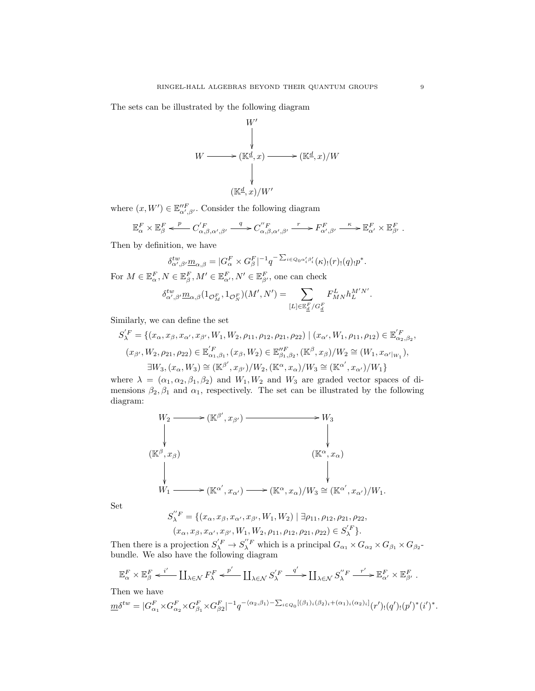The sets can be illustrated by the following diagram



where  $(x, W') \in \mathbb{E}''_{\alpha', \beta'}$ . Consider the following diagram

$$
\mathbb{E}_{\alpha}^F \times \mathbb{E}_{\beta}^F \xleftarrow{p} C_{\alpha,\beta,\alpha',\beta'}' \xrightarrow{q} C_{\alpha,\beta,\alpha',\beta'}' \xrightarrow{r} F_{\alpha',\beta'}^F \xrightarrow{\kappa} \mathbb{E}_{\alpha'}^F \times \mathbb{E}_{\beta'}^F.
$$

Then by definition, we have

$$
\delta^{tw}_{\alpha',\beta'} \underline{m}_{\alpha,\beta} = |G_{\alpha}^F \times G_{\beta}^F|^{-1} q^{-\sum_{i \in Q_0 \alpha'_i \beta'_i}}(\kappa)_!(r)_!(q)_! p^*.
$$

For  $M \in \mathbb{E}_{\alpha}^F, N \in \mathbb{E}_{\beta}^F, M' \in \mathbb{E}_{\alpha'}^F, N' \in \mathbb{E}_{\beta'}^F$ , one can check

$$
\delta^{tw}_{\alpha',\beta'} m_{\alpha,\beta} (1_{\mathcal{O}_M^F},1_{\mathcal{O}_N^F})(M',N')=\sum_{[L]\in \mathbb{E}^F_{\underline{d}}/G^F_{\underline{d}}} F^L_{MN} h_L^{M'N'}.
$$

Similarly, we can define the set

$$
S_{\lambda}^{'F} = \{ (x_{\alpha}, x_{\beta}, x_{\alpha'}, x_{\beta'}, W_1, W_2, \rho_{11}, \rho_{12}, \rho_{21}, \rho_{22}) \mid (x_{\alpha'}, W_1, \rho_{11}, \rho_{12}) \in \mathbb{E}_{\alpha_2, \beta_2}^{'F}, (x_{\beta'}, W_2, \rho_{21}, \rho_{22}) \in \mathbb{E}_{\alpha_1, \beta_1}^{'F}, (x_{\beta}, W_2) \in \mathbb{E}_{\beta_1, \beta_2}^{'F}, (\mathbb{K}^{\beta}, x_{\beta})/W_2 \cong (W_1, x_{\alpha'|w_1}), \exists W_3, (x_{\alpha}, W_3) \cong (\mathbb{K}^{\beta'}, x_{\beta'})/W_2, (\mathbb{K}^{\alpha}, x_{\alpha})/W_3 \cong (\mathbb{K}^{\alpha'}, x_{\alpha'})/W_1 \}
$$

where  $\lambda = (\alpha_1, \alpha_2, \beta_1, \beta_2)$  and  $W_1, W_2$  and  $W_3$  are graded vector spaces of dimensions  $\beta_2, \beta_1$  and  $\alpha_1$ , respectively. The set can be illustrated by the following diagram:

$$
W_2 \longrightarrow (\mathbb{K}^{\beta'}, x_{\beta'}) \longrightarrow W_3
$$
  
\n
$$
\downarrow
$$
  
\n
$$
(\mathbb{K}^{\beta}, x_{\beta})
$$
  
\n
$$
\downarrow
$$
  
\n
$$
W_1 \longrightarrow (\mathbb{K}^{\alpha'}, x_{\alpha'}) \longrightarrow (\mathbb{K}^{\alpha}, x_{\alpha})/W_3 \cong (\mathbb{K}^{\alpha'}, x_{\alpha'})/W_1.
$$

Set

$$
S_{\lambda}^{"F} = \{ (x_{\alpha}, x_{\beta}, x_{\alpha'}, x_{\beta'}, W_1, W_2) \mid \exists \rho_{11}, \rho_{12}, \rho_{21}, \rho_{22}, (x_{\alpha}, x_{\beta}, x_{\alpha'}, x_{\beta'}, W_1, W_2, \rho_{11}, \rho_{12}, \rho_{21}, \rho_{22}) \in S_{\lambda}^{'F} \}.
$$

Then there is a projection  $S_{\lambda}^{F} \to S_{\lambda}^{''F}$  which is a principal  $G_{\alpha_1} \times G_{\alpha_2} \times G_{\beta_1} \times G_{\beta_2}$ bundle. We also have the following diagram

$$
\mathbb{E}^F_{\alpha} \times \mathbb{E}^F_{\beta} \xleftarrow{i'} \coprod_{\lambda \in \mathcal{N}} F^F_{\lambda} \xleftarrow{p'} \coprod_{\lambda \in \mathcal{N}} S_{\lambda}^{'F} \xrightarrow{q'} \coprod_{\lambda \in \mathcal{N}} S_{\lambda}^{'F} \xrightarrow{r'} \mathbb{E}^F_{\alpha'} \times \mathbb{E}^F_{\beta'}.
$$

Then we have

$$
\underline{m}\delta^{tw} = |G_{\alpha_1}^F \times G_{\alpha_2}^F \times G_{\beta_1}^F \times G_{\beta_2}^F|^{-1} q^{-\langle \alpha_2, \beta_1 \rangle - \sum_{i \in Q_0} [(\beta_1)_i (\beta_2)_i + (\alpha_1)_i (\alpha_2)_i]} (r')_!(q')_!(p')^*(i')^*.
$$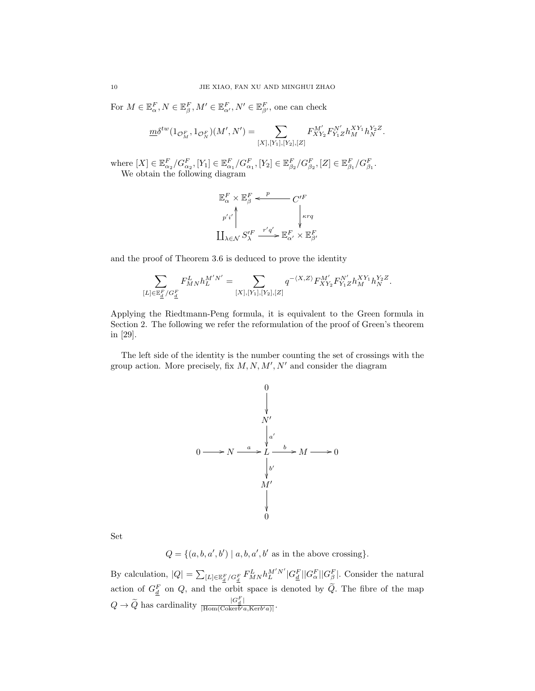For  $M \in \mathbb{E}_{\alpha}^F, N \in \mathbb{E}_{\beta}^F, M' \in \mathbb{E}_{\alpha'}^F, N' \in \mathbb{E}_{\beta'}^F$ , one can check

$$
\underline{m}\delta^{tw}(1_{\mathcal{O}_M^F},1_{\mathcal{O}_N^F})(M',N')=\sum_{[X],[Y_1],[Y_2],[Z]}F^{M'}_{XY_2}F^{N'}_{Y_1Z}h^{XY_1}_Mh^{Y_2Z}_N.
$$

where  $[X] \in \mathbb{E}^F_{\alpha_2}/G^F_{\alpha_2}, [Y_1] \in \mathbb{E}^F_{\alpha_1}/G^F_{\alpha_1}, [Y_2] \in \mathbb{E}^F_{\beta_2}/G^F_{\beta_2}, [Z] \in \mathbb{E}^F_{\beta_1}/G^F_{\beta_1}.$ We obtain the following diagram

$$
\begin{aligned} &\mathbb{E}^F_\alpha\times\mathbb{E}^F_\beta\overset{p}{\longleftarrow}C'^F\\ &\stackrel{p'i'}{\longleftarrow}\Bigg\downarrow_{\kappa r q}\\ &\stackrel{p'i'}{\underset{\lambda\in\mathcal{N}}{\longleftarrow}}S'^F_\lambda\overset{r'q'}{\longrightarrow}\mathbb{E}^F_{\alpha'}\times\mathbb{E}^F_{\beta'} \end{aligned}
$$

and the proof of Theorem 3.6 is deduced to prove the identity

$$
\sum_{[L]\in \mathbb{E}_{\underline{d}}^F/G_{\underline{d}}^F} F^L_{MN}h_L^{M'N'}=\sum_{[X],[Y_1],[Y_2],[Z]} q^{-\langle X,Z\rangle}F^{M'}_{XY_2}F^{N'}_{Y_1Z}h_M^{XY_1}h_N^{Y_2Z}.
$$

Applying the Riedtmann-Peng formula, it is equivalent to the Green formula in Section 2. The following we refer the reformulation of the proof of Green's theorem in [29].

The left side of the identity is the number counting the set of crossings with the group action. More precisely, fix  $M, N, M', N'$  and consider the diagram



Set

$$
Q = \{(a, b, a', b') \mid a, b, a', b' \text{ as in the above crossing}\}.
$$

By calculation,  $|Q| = \sum_{[L] \in \mathbb{E}_d^F/G_d^F} F_{MN}^L h_L^{M'N'} |G_d^F| |G_\beta^F|$ . Consider the natural action of  $G_{\underline{d}}^F$  on Q, and the orbit space is denoted by  $\widetilde{Q}$ . The fibre of the map  $Q \rightarrow \widetilde{Q}$  has cardinality  $\frac{|G_d^F|}{|\text{Hom}(\text{Coker}b'\text{Coker}^2)}$  $\frac{\log_d |\cdot|}{|\text{Hom}(\text{Coker}b'a,\text{Ker}b'a)|}.$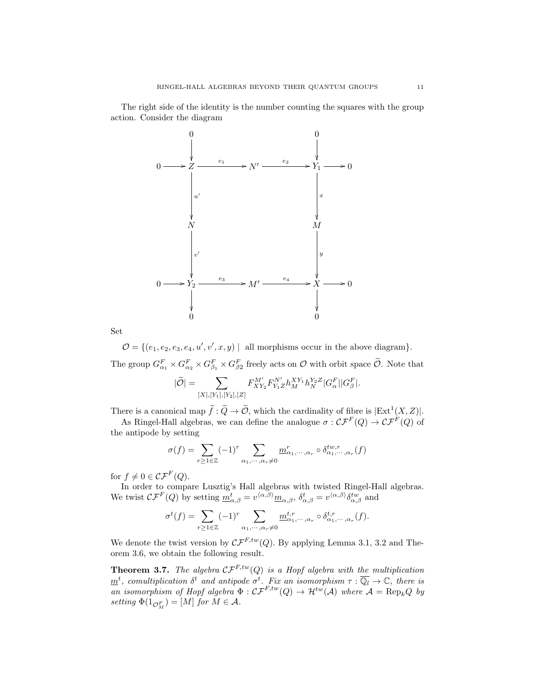The right side of the identity is the number counting the squares with the group action. Consider the diagram



Set

 $\mathcal{O} = \{ (e_1, e_2, e_3, e_4, u', v', x, y) \mid \text{ all morphisms occur in the above diagram} \}.$ The group  $G_{\alpha_1}^F \times G_{\alpha_2}^F \times G_{\beta_1}^F \times G_{\beta_2}^F$  freely acts on  $\mathcal O$  with orbit space  $\tilde{\mathcal O}$ . Note that

$$
|\widetilde{\mathcal{O}}| = \sum_{[X], [Y_1], [Y_2], [Z]} F_{XY_2}^{M'} F_{Y_1 Z}^{N'} h_M^{XY_1} h_N^{Y_2 Z} |G_{\alpha}^F| |G_{\beta}^F|.
$$

There is a canonical map  $\widetilde{f}: \widetilde{Q} \to \widetilde{\mathcal{O}}$ , which the cardinality of fibre is  $|\text{Ext}^1(X, Z)|$ .

As Ringel-Hall algebras, we can define the analogue  $\sigma: \mathcal{CF}^F(Q) \to \mathcal{CF}^F(Q)$  of the antipode by setting

$$
\sigma(f) = \sum_{r \ge 1 \in \mathbb{Z}} (-1)^r \sum_{\alpha_1, \cdots, \alpha_r \ne 0} \underline{m}_{\alpha_1, \cdots, \alpha_r}^r \circ \delta_{\alpha_1, \cdots, \alpha_r}^{tw,r}(f)
$$

for  $f \neq 0 \in \mathcal{CF}^F(Q)$ .

In order to compare Lusztig's Hall algebras with twisted Ringel-Hall algebras. We twist  $\mathcal{CF}^F(Q)$  by setting  $\underline{m}_{\alpha,\beta}^t = v^{\langle \alpha,\beta \rangle} \underline{m}_{\alpha,\beta}, \delta_{\alpha,\beta}^t = v^{\langle \alpha,\beta \rangle} \delta_{\alpha,\beta}^{tw}$  and

$$
\sigma^t(f) = \sum_{r \ge 1 \in \mathbb{Z}} (-1)^r \sum_{\alpha_1, \cdots, \alpha_r \ne 0} \underline{m}_{\alpha_1, \cdots, \alpha_r}^{t,r} \circ \delta_{\alpha_1, \cdots, \alpha_r}^{t,r}(f).
$$

We denote the twist version by  $\mathcal{CF}^{F,tw}(Q)$ . By applying Lemma 3.1, 3.2 and Theorem 3.6, we obtain the following result.

**Theorem 3.7.** The algebra  $CF^{F,tw}(Q)$  is a Hopf algebra with the multiplication  $\underline{m}^t$ , comultiplication  $\delta^t$  and antipode  $\sigma^t$ . Fix an isomorphism  $\tau : \overline{\mathbb{Q}_l} \to \mathbb{C}$ , there is an isomorphism of Hopf algebra  $\Phi : \mathcal{CF}^{F,tw}(Q) \to \mathcal{H}^{tw}(\mathcal{A})$  where  $\mathcal{A} = \text{Rep}_kQ$  by setting  $\Phi(1_{\mathcal{O}_M^F}) = [M]$  for  $M \in \mathcal{A}$ .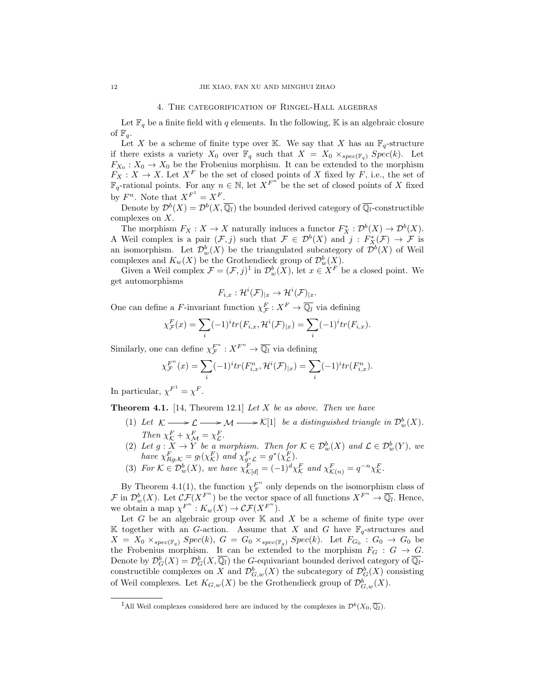#### 4. The categorification of Ringel-Hall algebras

Let  $\mathbb{F}_q$  be a finite field with q elements. In the following, K is an algebraic closure of  $\mathbb{F}_q$ .

Let X be a scheme of finite type over K. We say that X has an  $\mathbb{F}_q$ -structure if there exists a variety  $X_0$  over  $\mathbb{F}_q$  such that  $X = X_0 \times_{spec(\mathbb{F}_q)} Spec(k)$ . Let  $F_{X_0}: X_0 \to X_0$  be the Frobenius morphism. It can be extended to the morphism  $F_X: X \to X$ . Let  $X^F$  be the set of closed points of X fixed by F, i.e., the set of  $\mathbb{F}_q$ -rational points. For any  $n \in \mathbb{N}$ , let  $X^{F^{n}}$  be the set of closed points of X fixed by  $F^n$ . Note that  $X^{F^1} = X^F$ .

Denote by  $\mathcal{D}^b(X) = \mathcal{D}^b(X, \overline{\mathbb{Q}_l})$  the bounded derived category of  $\overline{\mathbb{Q}_l}$ -constructible complexes on X.

The morphism  $F_X: X \to X$  naturally induces a functor  $F_X^* : \mathcal{D}^b(X) \to \mathcal{D}^b(X)$ . A Weil complex is a pair  $(\mathcal{F},j)$  such that  $\mathcal{F} \in \mathcal{D}^b(X)$  and  $j: F_X^*(\mathcal{F}) \to \mathcal{F}$  is an isomorphism. Let  $\mathcal{D}_{w}^{b}(X)$  be the triangulated subcategory of  $\mathcal{D}^{b}(X)$  of Weil complexes and  $K_w(X)$  be the Grothendieck group of  $\mathcal{D}_w^b(X)$ .

Given a Weil complex  $\mathcal{F} = (\mathcal{F}, j)^1$  in  $\mathcal{D}_w^b(X)$ , let  $x \in X^F$  be a closed point. We get automorphisms

$$
F_{i,x}: \mathcal{H}^i(\mathcal{F})_{|x} \to \mathcal{H}^i(\mathcal{F})_{|x}.
$$

One can define a F-invariant function  $\chi^F_{\mathcal{F}} : X^F \to \overline{\mathbb{Q}_l}$  via defining

$$
\chi_{\mathcal{F}}^F(x) = \sum_i (-1)^i tr(F_{i,x}, \mathcal{H}^i(\mathcal{F})_{|x}) = \sum_i (-1)^i tr(F_{i,x}).
$$

Similarly, one can define  $\chi_{\mathcal{F}}^{F^n}:X^{F^n}\to\overline{\mathbb{Q}_l}$  via defining

$$
\chi_{\mathcal{F}}^{F^n}(x) = \sum_{i} (-1)^i tr(F_{i,x}^n, \mathcal{H}^i(\mathcal{F})_{|x}) = \sum_{i} (-1)^i tr(F_{i,x}^n).
$$

In particular,  $\chi^{F^1} = \chi^F$ .

**Theorem 4.1.** [14, Theorem 12.1] Let  $X$  be as above. Then we have

- (1) Let  $\mathcal{K} \longrightarrow \mathcal{L} \longrightarrow \mathcal{M} \longrightarrow \mathcal{K}[1]$  be a distinguished triangle in  $\mathcal{D}^b_w(X)$ . Then  $\chi^F_{\mathcal{K}} + \chi^F_{\mathcal{M}} = \chi^F_{\mathcal{L}}$ .
- (2) Let  $g: X \to Y$  be a morphism. Then for  $\mathcal{K} \in \mathcal{D}_{w}^{b}(X)$  and  $\mathcal{L} \in \mathcal{D}_{w}^{b}(Y)$ , we have  $\chi_{Rg_!K}^F = g_!(\chi_{\mathcal{K}}^F)$  and  $\chi_{g^*\mathcal{L}}^F = g^*(\chi_{\mathcal{L}}^F)$ .
- (3) For  $\mathcal{K} \in \mathcal{D}_{w}^{b}(X)$ , we have  $\chi_{\mathcal{K}[d]}^{F} = (-1)^{d} \chi_{\mathcal{K}}^{F}$  and  $\chi_{\mathcal{K}(n)}^{F} = q^{-n} \chi_{\mathcal{K}}^{F}$ .

By Theorem 4.1(1), the function  $\chi_F^{F^n}$  only depends on the isomorphism class of  $\mathcal{F}$  in  $\mathcal{D}^b_w(X)$ . Let  $\mathcal{CF}(X^{F^n})$  be the vector space of all functions  $X^{F^n} \to \overline{\mathbb{Q}_l}$ . Hence, we obtain a map  $\chi^{F^n} : K_w(X) \to \mathcal{CF}(X^{F^n}).$ 

Let G be an algebraic group over  $K$  and X be a scheme of finite type over K together with an G-action. Assume that X and G have  $\mathbb{F}_q$ -structures and  $X = X_0 \times_{spec(\mathbb{F}_q)} Spec(k), G = G_0 \times_{spec(\mathbb{F}_q)} Spec(k)$ . Let  $F_{G_0} : G_0 \to G_0$  be the Frobenius morphism. It can be extended to the morphism  $F_G : G \to G$ . Denote by  $\mathcal{D}_G^b(X) = \mathcal{D}_G^b(X, \overline{\mathbb{Q}_l})$  the G-equivariant bounded derived category of  $\overline{\mathbb{Q}_l}$ constructible complexes on X and  $\mathcal{D}^b_{G,w}(X)$  the subcategory of  $\mathcal{D}^b_G(X)$  consisting of Weil complexes. Let  $K_{G,w}(X)$  be the Grothendieck group of  $\mathcal{D}^b_{G,w}(X)$ .

<sup>&</sup>lt;sup>1</sup>All Weil complexes considered here are induced by the complexes in  $\mathcal{D}^b(X_0, \overline{\mathbb{Q}_l})$ .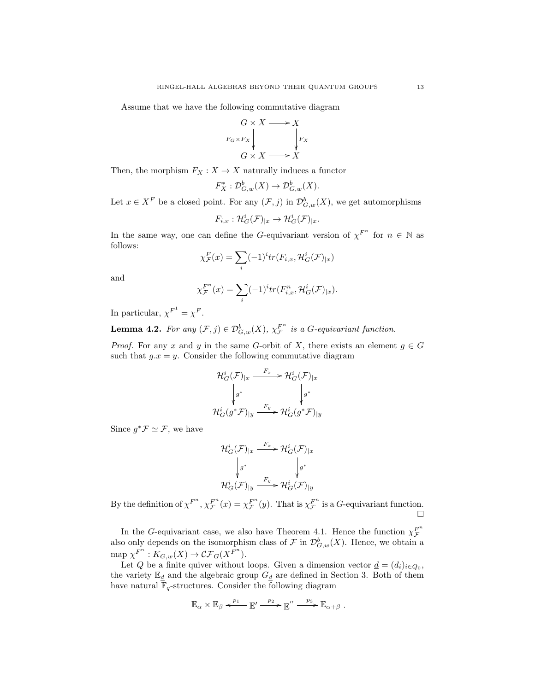Assume that we have the following commutative diagram



Then, the morphism  $F_X : X \to X$  naturally induces a functor

$$
F_X^* : \mathcal{D}^b_{G,w}(X) \to \mathcal{D}^b_{G,w}(X).
$$

Let  $x \in X^F$  be a closed point. For any  $(\mathcal{F}, j)$  in  $\mathcal{D}_{G,w}^b(X)$ , we get automorphisms

$$
F_{i,x}: \mathcal{H}^i_G(\mathcal{F})_{|x} \to \mathcal{H}^i_G(\mathcal{F})_{|x}.
$$

In the same way, one can define the G-equivariant version of  $\chi^{F^n}$  for  $n \in \mathbb{N}$  as follows:

$$
\chi_{\mathcal{F}}^F(x) = \sum_i (-1)^i tr(F_{i,x}, \mathcal{H}_G^i(\mathcal{F})_{|x})
$$

and

$$
\chi_{\mathcal{F}}^{F^n}(x) = \sum_i (-1)^i tr(F_{i,x}^n, \mathcal{H}_G^i(\mathcal{F})_{|x}).
$$

In particular,  $\chi^{F^1} = \chi^F$ .

**Lemma 4.2.** For any  $(\mathcal{F},j) \in \mathcal{D}_{G,w}^b(X)$ ,  $\chi_{\mathcal{F}}^{F^n}$  is a G-equivariant function.

*Proof.* For any x and y in the same G-orbit of X, there exists an element  $g \in G$ such that  $g.x = y$ . Consider the following commutative diagram

$$
\mathcal{H}^i_G(\mathcal{F})_{|x} \xrightarrow{F_x} \mathcal{H}^i_G(\mathcal{F})_{|x}
$$

$$
\downarrow g^* \qquad \qquad \downarrow g^*
$$

$$
\mathcal{H}^i_G(g^*\mathcal{F})_{|y} \xrightarrow{F_y} \mathcal{H}^i_G(g^*\mathcal{F})_{|y}
$$

Since  $g^*\mathcal{F} \simeq \mathcal{F}$ , we have

$$
\mathcal{H}^i_G(\mathcal{F})_{|x} \xrightarrow{F_x} \mathcal{H}^i_G(\mathcal{F})_{|x}
$$

$$
\downarrow g^* \qquad \qquad \downarrow g^*
$$

$$
\mathcal{H}^i_G(\mathcal{F})_{|y} \xrightarrow{F_y} \mathcal{H}^i_G(\mathcal{F})_{|y}
$$

By the definition of  $\chi^{F^n}$ ,  $\chi^{F^n}_{\mathcal{F}}(x) = \chi^{F^n}_{\mathcal{F}}(y)$ . That is  $\chi^{F^n}_{\mathcal{F}}$  is a G-equivariant function.  $\Box$ 

In the G-equivariant case, we also have Theorem 4.1. Hence the function  $\chi_F^{F^n}$ also only depends on the isomorphism class of  $\mathcal F$  in  $\mathcal D^b_{G,w}(X)$ . Hence, we obtain a map  $\chi^{F^n}: K_{G,w}(X) \to \mathcal{CF}_G(X^{F^n}).$ 

Let Q be a finite quiver without loops. Given a dimension vector  $\underline{d} = (d_i)_{i \in Q_0}$ , the variety  $\mathbb{E}_d$  and the algebraic group  $G_d$  are defined in Section 3. Both of them have natural  $\mathbb{F}_q$ -structures. Consider the following diagram

$$
\mathbb{E}_{\alpha} \times \mathbb{E}_{\beta} \stackrel{p_1}{\longleftarrow} \mathbb{E}' \stackrel{p_2}{\longrightarrow} \mathbb{E}'' \stackrel{p_3}{\longrightarrow} \mathbb{E}_{\alpha+\beta} .
$$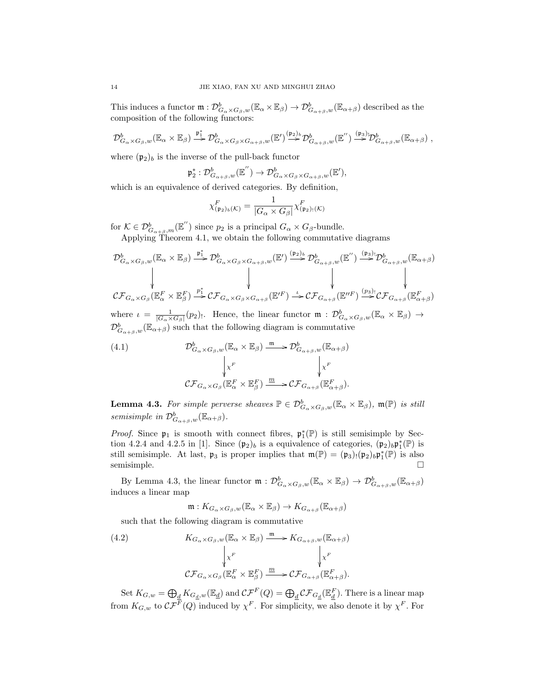This induces a functor  $\mathfrak{m}: \mathcal{D}^b_{G_\alpha \times G_\beta,w}(\mathbb{E}_\alpha \times \mathbb{E}_\beta) \to \mathcal{D}^b_{G_{\alpha+\beta},w}(\mathbb{E}_{\alpha+\beta})$  described as the composition of the following functors:

$$
\mathcal{D}^b_{G_\alpha \times G_\beta, w}(\mathbb{E}_\alpha \times \mathbb{E}_\beta) \stackrel{\mathfrak{p}_1^*}{\longrightarrow} \mathcal{D}^b_{G_\alpha \times G_\beta \times G_{\alpha+\beta}, w}(\mathbb{E}') \stackrel{(\mathfrak{p}_2)_b}{\longrightarrow} \mathcal{D}^b_{G_{\alpha+\beta}, w}(\mathbb{E}'') \stackrel{(\mathfrak{p}_3)_v}{\longrightarrow} \mathcal{D}^b_{G_{\alpha+\beta}, w}(\mathbb{E}_{\alpha+\beta}),
$$

where  $(\mathfrak{p}_2)_b$  is the inverse of the pull-back functor

$$
\mathfrak{p}_2^*: \mathcal{D}^b_{G_{\alpha+\beta},w}(\mathbb{E}^{''}) \to \mathcal{D}^b_{G_{\alpha} \times G_{\beta} \times G_{\alpha+\beta},w}(\mathbb{E}'),
$$

which is an equivalence of derived categories. By definition,

$$
\chi_{(\mathfrak{p}_2)_b({\mathcal K})}^F = \frac{1}{|G_{\alpha} \times G_{\beta}|} \chi_{(\mathfrak{p}_2)_!({\mathcal K})}^F
$$

for  $\mathcal{K} \in \mathcal{D}^b_{G_{\alpha+\beta},m}(\mathbb{E}^{\prime\prime})$  since  $p_2$  is a principal  $G_{\alpha} \times G_{\beta}$ -bundle.

Applying Theorem 4.1, we obtain the following commutative diagrams

$$
\mathcal{D}^b_{G_{\alpha}\times G_{\beta},w}(\mathbb{E}_{\alpha}\times\mathbb{E}_{\beta}) \stackrel{\mathfrak{p}_1^*}{\longrightarrow} \mathcal{D}^b_{G_{\alpha}\times G_{\beta}\times G_{\alpha+\beta},w}(\mathbb{E}') \stackrel{(\mathfrak{p}_2)_b}{\longrightarrow} \mathcal{D}^b_{G_{\alpha+\beta},w}(\mathbb{E}'') \stackrel{(\mathfrak{p}_3)_!}{\longrightarrow} \mathcal{D}^b_{G_{\alpha+\beta},w}(\mathbb{E}_{\alpha+\beta})
$$
\n
$$
\downarrow \qquad \qquad \downarrow \qquad \qquad \downarrow \qquad \qquad \downarrow
$$
\n
$$
\mathcal{CF}_{G_{\alpha}\times G_{\beta}}(\mathbb{E}_{\alpha}^F \times \mathbb{E}_{\beta}^F) \stackrel{\mathfrak{p}_1^*}{\longrightarrow} \mathcal{CF}_{G_{\alpha}\times G_{\beta}\times G_{\alpha+\beta}}(\mathbb{E}'^F) \stackrel{\iota}{\longrightarrow} \mathcal{CF}_{G_{\alpha+\beta}}(\mathbb{E}''^F) \stackrel{(\mathfrak{p}_3)_!}{\longrightarrow} \mathcal{CF}_{G_{\alpha+\beta}}(\mathbb{E}_{\alpha+\beta}^F)
$$
\nwhere  $\iota = \frac{1}{|G_{\alpha}\times G_{\beta}|}(p_2)_!$ . Hence, the linear functor  $\mathfrak{m}: \mathcal{D}^b_{G_{\alpha}\times G_{\beta},w}(\mathbb{E}_{\alpha}\times \mathbb{E}_{\beta}) \to$ 

 $\mathcal{D}^b_{G_{\alpha+\beta},w}(\mathbb{E}_{\alpha+\beta})$  such that the following diagram is commutative

(4.1) 
$$
\mathcal{D}^b_{G_\alpha \times G_\beta, w}(\mathbb{E}_\alpha \times \mathbb{E}_\beta) \xrightarrow{\mathfrak{m}} \mathcal{D}^b_{G_{\alpha+\beta}, w}(\mathbb{E}_{\alpha+\beta})
$$

$$
\downarrow x^F \qquad \qquad \downarrow x^F
$$

$$
\mathcal{CF}_{G_\alpha \times G_\beta}(\mathbb{E}_\alpha^F \times \mathbb{E}_\beta^F) \xrightarrow{\underline{m}} \mathcal{CF}_{G_{\alpha+\beta}}(\mathbb{E}_{\alpha+\beta}^F).
$$

**Lemma 4.3.** For simple perverse sheaves  $\mathbb{P} \in \mathcal{D}_{G_\alpha \times G_\beta,w}^b(\mathbb{E}_\alpha \times \mathbb{E}_\beta)$ ,  $\mathfrak{m}(\mathbb{P})$  is still semisimple in  $\mathcal{D}^b_{G_{\alpha+\beta},w}(\mathbb{E}_{\alpha+\beta}).$ 

*Proof.* Since  $\mathfrak{p}_1$  is smooth with connect fibres,  $\mathfrak{p}_1^*(\mathbb{P})$  is still semisimple by Section 4.2.4 and 4.2.5 in [1]. Since  $(\mathfrak{p}_2)_b$  is a equivalence of categories,  $(\mathfrak{p}_2)_b \mathfrak{p}_1^*(\mathbb{P})$  is still semisimple. At last,  $\mathfrak{p}_3$  is proper implies that  $\mathfrak{m}(\mathbb{P}) = (\mathfrak{p}_3)_! (\mathfrak{p}_2)_b \mathfrak{p}_1^*(\mathbb{P})$  is also semisimple.  $\square$ 

By Lemma 4.3, the linear functor  $\mathfrak{m}: \mathcal{D}^b_{G_\alpha \times G_\beta,w}(\mathbb{E}_\alpha \times \mathbb{E}_\beta) \to \mathcal{D}^b_{G_{\alpha+\beta},w}(\mathbb{E}_{\alpha+\beta})$ induces a linear map

$$
\mathfrak{m}:K_{G_\alpha\times G_\beta,w}(\mathbb{E}_\alpha\times\mathbb{E}_\beta)\to K_{G_{\alpha+\beta}}(\mathbb{E}_{\alpha+\beta})
$$

such that the following diagram is commutative

(4.2) 
$$
K_{G_{\alpha}\times G_{\beta},w}(\mathbb{E}_{\alpha}\times \mathbb{E}_{\beta}) \xrightarrow{\mathfrak{m}} K_{G_{\alpha+\beta},w}(\mathbb{E}_{\alpha+\beta})
$$

$$
\downarrow \chi^{F} \qquad \qquad \downarrow \chi^{F}
$$

$$
C\mathcal{F}_{G_{\alpha}\times G_{\beta}}(\mathbb{E}_{\alpha}^{F} \times \mathbb{E}_{\beta}^{F}) \xrightarrow{\underline{m}} C\mathcal{F}_{G_{\alpha+\beta}}(\mathbb{E}_{\alpha+\beta}^{F}).
$$

Set  $K_{G,w} = \bigoplus_d K_{G_d,w}(\mathbb{E}_d)$  and  $\mathcal{CF}^F(Q) = \bigoplus_d \mathcal{CF}_{G_d}(\mathbb{E}_d^F)$ . There is a linear map from  $K_{G,w}$  to  $\mathcal{CF}^F(Q)$  induced by  $\chi^F$ . For simplicity, we also denote it by  $\chi^F$ . For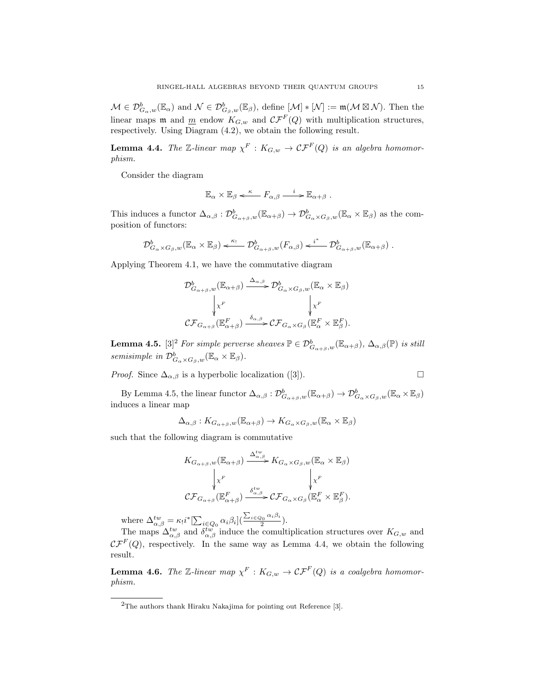$M \in \mathcal{D}_{G_\alpha,w}^b(\mathbb{E}_\alpha)$  and  $\mathcal{N} \in \mathcal{D}_{G_\beta,w}^b(\mathbb{E}_\beta)$ , define  $[\mathcal{M}] \ast [\mathcal{N}] := \mathfrak{m}(\mathcal{M} \boxtimes \mathcal{N})$ . Then the linear maps  $\mathfrak{m}$  and  $\underline{m}$  endow  $K_{G,w}$  and  $\mathcal{CF}^F(Q)$  with multiplication structures, respectively. Using Diagram (4.2), we obtain the following result.

**Lemma 4.4.** The Z-linear map  $\chi^F : K_{G,w} \to \mathcal{CF}^F(Q)$  is an algebra homomorphism.

Consider the diagram

$$
\mathbb{E}_{\alpha} \times \mathbb{E}_{\beta} \xleftarrow{\kappa} F_{\alpha,\beta} \xrightarrow{i} \mathbb{E}_{\alpha+\beta} .
$$

This induces a functor  $\Delta_{\alpha,\beta}: \mathcal{D}^b_{G_{\alpha+\beta},w}(\mathbb{E}_{\alpha+\beta}) \to \mathcal{D}^b_{G_{\alpha}\times G_{\beta},w}(\mathbb{E}_{\alpha}\times \mathbb{E}_{\beta})$  as the composition of functors:

$$
\mathcal{D}_{G_{\alpha}\times G_{\beta},w}^b(\mathbb{E}_{\alpha}\times\mathbb{E}_{\beta}) \xleftarrow{\kappa_!} \mathcal{D}_{G_{\alpha+\beta},w}^b(F_{\alpha,\beta}) \xleftarrow{i^*} \mathcal{D}_{G_{\alpha+\beta},w}^b(\mathbb{E}_{\alpha+\beta}).
$$

Applying Theorem 4.1, we have the commutative diagram

$$
\mathcal{D}_{G_{\alpha+\beta},w}^b(\mathbb{E}_{\alpha+\beta}) \xrightarrow{\Delta_{\alpha,\beta}} \mathcal{D}_{G_{\alpha}\times G_{\beta},w}^b(\mathbb{E}_{\alpha}\times \mathbb{E}_{\beta})
$$
\n
$$
\downarrow x^F \qquad \qquad \downarrow x^F
$$
\n
$$
\mathcal{CF}_{G_{\alpha+\beta}}(\mathbb{E}_{\alpha+\beta}^F) \xrightarrow{\delta_{\alpha,\beta}} \mathcal{CF}_{G_{\alpha}\times G_{\beta}}(\mathbb{E}_{\alpha}^F \times \mathbb{E}_{\beta}^F).
$$

**Lemma 4.5.** [3]<sup>2</sup> For simple perverse sheaves  $\mathbb{P} \in \mathcal{D}^b_{G_{\alpha+\beta},w}(\mathbb{E}_{\alpha+\beta})$ ,  $\Delta_{\alpha,\beta}(\mathbb{P})$  is still semisimple in  $\mathcal{D}^b_{G_\alpha \times G_\beta,w}(\mathbb{E}_\alpha \times \mathbb{E}_\beta)$ .

*Proof.* Since 
$$
\Delta_{\alpha,\beta}
$$
 is a hyperbolic localization ([3]).

By Lemma 4.5, the linear functor  $\Delta_{\alpha,\beta}: \mathcal{D}^b_{G_{\alpha+\beta},w}(\mathbb{E}_{\alpha+\beta}) \to \mathcal{D}^b_{G_{\alpha} \times G_{\beta},w}(\mathbb{E}_{\alpha} \times \mathbb{E}_{\beta})$ induces a linear map

$$
\Delta_{\alpha,\beta}:K_{G_{\alpha+\beta},w}(\mathbb{E}_{\alpha+\beta})\to K_{G_{\alpha}\times G_{\beta},w}(\mathbb{E}_{\alpha}\times\mathbb{E}_{\beta})
$$

such that the following diagram is commutative

$$
K_{G_{\alpha+\beta},w}(\mathbb{E}_{\alpha+\beta}) \xrightarrow{\Delta_{\alpha,\beta}^{tw}} K_{G_{\alpha}\times G_{\beta},w}(\mathbb{E}_{\alpha}\times \mathbb{E}_{\beta})
$$

$$
\downarrow x^{F} \qquad \qquad \downarrow x^{F}
$$

$$
CF_{G_{\alpha+\beta}}(\mathbb{E}_{\alpha+\beta}^{F}) \xrightarrow{\delta_{\alpha,\beta}^{tw}} CF_{G_{\alpha}\times G_{\beta}}(\mathbb{E}_{\alpha}^{F}\times \mathbb{E}_{\beta}^{F}).
$$

where  $\Delta_{\alpha,\beta}^{tw} = \kappa_! i^* \left[ \sum_{i \in Q_0} \alpha_i \beta_i \right] \left( \frac{\sum_{i \in Q_0} \alpha_i \beta_i}{2} \right]$  $\frac{20}{2}$ .

The maps  $\Delta_{\alpha,\beta}^{tw}$  and  $\delta_{\alpha,\beta}^{tw}$  induce the comultiplication structures over  $K_{G,w}$  and  $\mathcal{CF}^F(Q)$ , respectively. In the same way as Lemma 4.4, we obtain the following result.

**Lemma 4.6.** The Z-linear map  $\chi^F : K_{G,w} \to \mathcal{CF}^F(Q)$  is a coalgebra homomorphism.

<sup>2</sup>The authors thank Hiraku Nakajima for pointing out Reference [3].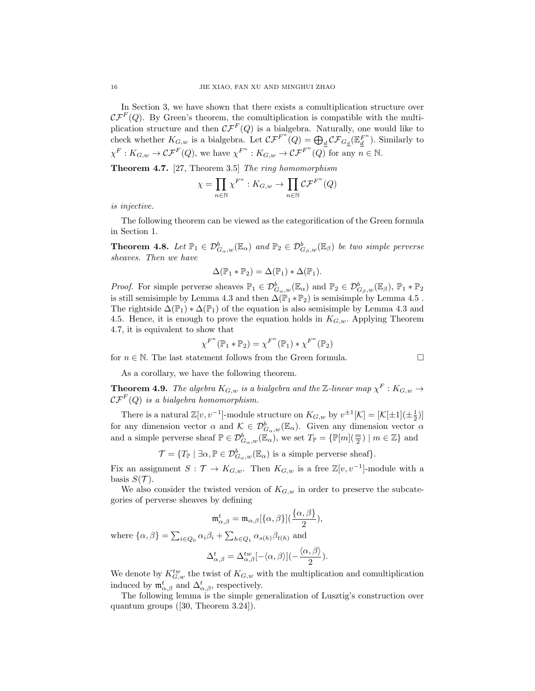In Section 3, we have shown that there exists a comultiplication structure over  $\mathcal{CF}^F(Q)$ . By Green's theorem, the comultiplication is compatible with the multiplication structure and then  $\mathcal{CF}^F(Q)$  is a bialgebra. Naturally, one would like to check whether  $K_{G,w}$  is a bialgebra. Let  $\mathcal{CF}^{F^{n}}(Q) = \bigoplus_{d} \mathcal{CF}_{G_{d}}(\mathbb{E}_{d}^{F^{n}})$ . Similarly to  $\chi^F: K_{G,w} \to \mathcal{CF}^F(Q)$ , we have  $\chi^{F^n}: K_{G,w} \to \mathcal{CF}^{F^n}(Q)$  for any  $n \in \mathbb{N}$ .

Theorem 4.7. [27, Theorem 3.5] The ring homomorphism

$$
\chi = \prod_{n \in \mathbb{N}} \chi^{F^n} : K_{G,w} \to \prod_{n \in \mathbb{N}} \mathcal{CF}^{F^n}(Q)
$$

is injective.

The following theorem can be viewed as the categorification of the Green formula in Section 1.

**Theorem 4.8.** Let  $\mathbb{P}_1 \in \mathcal{D}_{G_\alpha,w}^b(\mathbb{E}_\alpha)$  and  $\mathbb{P}_2 \in \mathcal{D}_{G_\beta,w}^b(\mathbb{E}_\beta)$  be two simple perverse sheaves. Then we have

$$
\Delta(\mathbb{P}_1 * \mathbb{P}_2) = \Delta(\mathbb{P}_1) * \Delta(\mathbb{P}_1).
$$

*Proof.* For simple perverse sheaves  $\mathbb{P}_1 \in \mathcal{D}_{G_\alpha,w}^b(\mathbb{E}_\alpha)$  and  $\mathbb{P}_2 \in \mathcal{D}_{G_\beta,w}^b(\mathbb{E}_\beta)$ ,  $\mathbb{P}_1 * \mathbb{P}_2$ is still semisimple by Lemma 4.3 and then  $\Delta(\mathbb{P}_1 * \mathbb{P}_2)$  is semisimple by Lemma 4.5. The rightside  $\Delta(\mathbb{P}_1) * \Delta(\mathbb{P}_1)$  of the equation is also semisimple by Lemma 4.3 and 4.5. Hence, it is enough to prove the equation holds in  $K_{G,w}$ . Applying Theorem 4.7, it is equivalent to show that

$$
\chi^{F^n}(\mathbb{P}_1 * \mathbb{P}_2) = \chi^{F^n}(\mathbb{P}_1) * \chi^{F^n}(\mathbb{P}_2)
$$

for  $n\in\mathbb{N}.$  The last statement follows from the Green formula.

$$
\Box
$$

As a corollary, we have the following theorem.

**Theorem 4.9.** The algebra  $K_{G,w}$  is a bialgebra and the  $\mathbb{Z}\text{-}linear map  $\chi^F : K_{G,w} \to$$  $\mathcal{CF}^F(Q)$  is a bialgebra homomorphism.

There is a natural  $\mathbb{Z}[v, v^{-1}]$ -module structure on  $K_{G,w}$  by  $v^{\pm 1}[\mathcal{K}] = [\mathcal{K}[\pm 1](\pm \frac{1}{2})]$ for any dimension vector  $\alpha$  and  $\mathcal{K} \in \mathcal{D}_{G_\alpha,w}^b(\mathbb{E}_\alpha)$ . Given any dimension vector  $\alpha$ and a simple perverse sheaf  $\mathbb{P} \in \mathcal{D}_{G_\alpha,w}^b(\mathbb{E}_\alpha)$ , we set  $T_{\mathbb{P}} = {\mathbb{P}[m](\frac{m}{2}) \mid m \in \mathbb{Z}}$  and

 $\mathcal{T} = \{T_{\mathbb{P}} \mid \exists \alpha, \mathbb{P} \in \mathcal{D}_{G_\alpha,w}^b(\mathbb{E}_\alpha) \text{ is a simple perverse sheaf}\}.$ 

Fix an assignment  $S: \mathcal{T} \to K_{G,w}$ . Then  $K_{G,w}$  is a free  $\mathbb{Z}[v, v^{-1}]$ -module with a basis  $S(\mathcal{T})$ .

We also consider the twisted version of  $K_{G,w}$  in order to preserve the subcategories of perverse sheaves by defining

$$
\mathfrak{m}^t_{\alpha,\beta} = \mathfrak{m}_{\alpha,\beta}[\{\alpha,\beta\}](\frac{\{\alpha,\beta\}}{2}),
$$

where  $\{\alpha, \beta\} = \sum_{i \in Q_0} \alpha_i \beta_i + \sum_{h \in Q_1} \alpha_{s(h)} \beta_{t(h)}$  and

$$
\Delta_{\alpha,\beta}^t = \Delta_{\alpha,\beta}^{tw} [-\langle \alpha, \beta \rangle](-\frac{\langle \alpha, \beta \rangle}{2}).
$$

We denote by  $K_{G,w}^{tw}$  the twist of  $K_{G,w}$  with the multiplication and comultiplication induced by  $\mathfrak{m}^t_{\alpha,\beta}$  and  $\Delta^t_{\alpha,\beta}$ , respectively.

The following lemma is the simple generalization of Lusztig's construction over quantum groups ([30, Theorem 3.24]).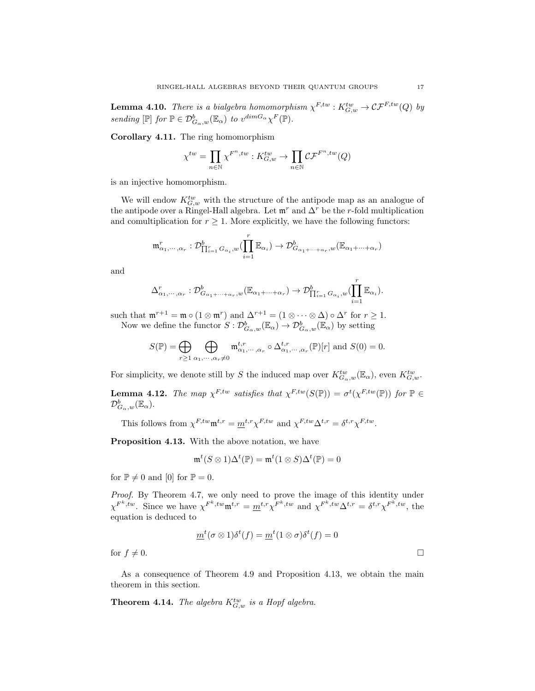**Lemma 4.10.** There is a bialgebra homomorphism  $\chi^{F,tw} : K_{G,w}^{tw} \to \mathcal{CF}^{F,tw}(Q)$  by sending  $[\mathbb{P}]$  for  $\mathbb{P} \in \mathcal{D}^b_{G_\alpha,w}(\mathbb{E}_\alpha)$  to  $v^{dim G_\alpha} \chi^F(\mathbb{P})$ .

Corollary 4.11. The ring homomorphism

$$
\chi^{tw} = \prod_{n \in \mathbb{N}} \chi^{F^n, tw} : K_{G,w}^{tw} \to \prod_{n \in \mathbb{N}} \mathcal{CF}^{F^n, tw}(Q)
$$

is an injective homomorphism.

We will endow  $K_{G,w}^{tw}$  with the structure of the antipode map as an analogue of the antipode over a Ringel-Hall algebra. Let  $\mathfrak{m}^r$  and  $\Delta^r$  be the r-fold multiplication and comultiplication for  $r \geq 1$ . More explicitly, we have the following functors:

$$
\mathfrak{m}_{\alpha_1,\dots,\alpha_r}^r: \mathcal{D}_{\prod_{i=1}^r G_{\alpha_i},w}^b(\prod_{i=1}^r \mathbb{E}_{\alpha_i}) \to \mathcal{D}_{G_{\alpha_1+\dots+\alpha_r},w}^b(\mathbb{E}_{\alpha_1+\dots+\alpha_r})
$$

and

$$
\Delta_{\alpha_1,\dots,\alpha_r}^r: \mathcal{D}^b_{G_{\alpha_1+\dots+\alpha_r},w}(\mathbb{E}_{\alpha_1+\dots+\alpha_r}) \to \mathcal{D}^b_{\prod_{i=1}^r G_{\alpha_i},w}(\prod_{i=1}^r \mathbb{E}_{\alpha_i}).
$$

such that  $\mathfrak{m}^{r+1} = \mathfrak{m} \circ (1 \otimes \mathfrak{m}^r)$  and  $\Delta^{r+1} = (1 \otimes \cdots \otimes \Delta) \circ \Delta^r$  for  $r \geq 1$ . Now we define the functor  $S: \mathcal{D}^b_{G_\alpha,w}(\mathbb{E}_\alpha) \to \mathcal{D}^b_{G_\alpha,w}(\mathbb{E}_\alpha)$  by setting

$$
S(\mathbb{P}) = \bigoplus_{r \geq 1} \bigoplus_{\alpha_1, \cdots, \alpha_r \neq 0} \mathfrak{m}_{\alpha_1, \cdots, \alpha_r}^{t,r} \circ \Delta_{\alpha_1, \cdots, \alpha_r}^{t,r} (\mathbb{P})[r] \text{ and } S(0) = 0.
$$

For simplicity, we denote still by S the induced map over  $K_{G_\alpha,w}^{tw}(\mathbb{E}_\alpha)$ , even  $K_{G,w}^{tw}$ .

**Lemma 4.12.** The map  $\chi^{F,tw}$  satisfies that  $\chi^{F,tw}(S(\mathbb{P})) = \sigma^t(\chi^{F,tw}(\mathbb{P}))$  for  $\mathbb{P} \in$  $\mathcal{D}^b_{G_\alpha,w}(\mathbb{E}_\alpha).$ 

This follows from  $\chi^{F,tw} \mathfrak{m}^{t,r} = m^{t,r} \chi^{F,tw}$  and  $\chi^{F,tw} \Delta^{t,r} = \delta^{t,r} \chi^{F,tw}$ .

Proposition 4.13. With the above notation, we have

$$
\mathfrak{m}^t(S\otimes 1)\Delta^t(\mathbb{P})=\mathfrak{m}^t(1\otimes S)\Delta^t(\mathbb{P})=0
$$

for  $\mathbb{P} \neq 0$  and [0] for  $\mathbb{P} = 0$ .

Proof. By Theorem 4.7, we only need to prove the image of this identity under  $\chi^{F^k, tw}$ . Since we have  $\chi^{F^k, tw} \mathfrak{m}^{t,r} = \underline{m}^{t,r} \chi^{F^k, tw}$  and  $\chi^{F^k, tw} \Delta^{t,r} = \delta^{t,r} \chi^{F^k, tw}$ , the equation is deduced to

$$
\underline{m}^t(\sigma\otimes 1)\delta^t(f)=\underline{m}^t(1\otimes \sigma)\delta^t(f)=0
$$

for  $f \neq 0$ .

As a consequence of Theorem 4.9 and Proposition 4.13, we obtain the main theorem in this section.

**Theorem 4.14.** The algebra  $K_{G,w}^{tw}$  is a Hopf algebra.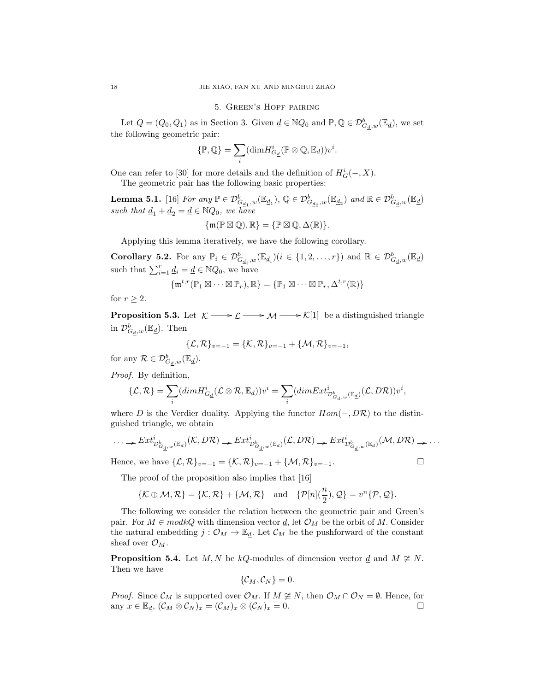#### 5. Green's Hopf pairing

Let  $Q = (Q_0, Q_1)$  as in Section 3. Given  $\underline{d} \in \mathbb{N}Q_0$  and  $\mathbb{P}, \mathbb{Q} \in \mathcal{D}_{G_d,w}^b(\mathbb{E}_{\underline{d}})$ , we set the following geometric pair:

$$
\{\mathbb P,\mathbb Q\}=\sum_i (\text{dim}H^i_{G_{\underline d}}(\mathbb P\otimes\mathbb Q,\mathbb E_{\underline d}))v^i.
$$

One can refer to [30] for more details and the definition of  $H_G^i(-, X)$ . The geometric pair has the following basic properties:

**Lemma 5.1.** [16] For any  $\mathbb{P} \in \mathcal{D}_{G_{\underline{d}_1},w}^b(\mathbb{E}_{\underline{d}_1}), \mathbb{Q} \in \mathcal{D}_{G_{\underline{d}_2},w}^b(\mathbb{E}_{\underline{d}_2})$  and  $\mathbb{R} \in \mathcal{D}_{G_{\underline{d}},w}^b(\mathbb{E}_{\underline{d}})$ such that  $\underline{d}_1 + \underline{d}_2 = \underline{d} \in \mathbb{N}Q_0$ , we have  $\{\mathfrak{m}(\mathbb{P} \boxtimes \mathbb{Q}), \mathbb{R}\} = \{\mathbb{P} \boxtimes \mathbb{Q}, \Delta(\mathbb{R})\}.$ 

$$
\mathcal{L}(\mathcal{L}^{\mathcal{L}}(\mathcal{L}^{\mathcal{L}}(\mathcal{L}^{\mathcal{L}}(\mathcal{L}^{\mathcal{L}}(\mathcal{L}^{\mathcal{L}}(\mathcal{L}^{\mathcal{L}}(\mathcal{L}^{\mathcal{L}}(\mathcal{L}^{\mathcal{L}}(\mathcal{L}^{\mathcal{L}}(\mathcal{L}^{\mathcal{L}}(\mathcal{L}^{\mathcal{L}}(\mathcal{L}^{\mathcal{L}}(\mathcal{L}^{\mathcal{L}}(\mathcal{L}^{\mathcal{L}}(\mathcal{L}^{\mathcal{L}}(\mathcal{L}^{\mathcal{L}}(\mathcal{L}^{\mathcal{L}}(\mathcal{L}^{\mathcal{L}}(\mathcal{L}^{\mathcal{L}}(\mathcal{L}^{\mathcal{L}}(\mathcal{L}^{\mathcal{L}}(\mathcal{L}^{\mathcal{L}}(\mathcal{L}^{\mathcal{L}}(\mathcal{L}^{\mathcal{L}}(\mathcal{L}^{\mathcal{L}}(\mathcal{L}^{\mathcal{L}}(\mathcal{L}^{\mathcal{L}}(\mathcal{L}^{\mathcal{L}}(\mathcal{L}^{\mathcal{L}}(\mathcal{L}^{\mathcal{L}}(\mathcal{L}^{\mathcal{L}}(\mathcal{L}^{\mathcal{L}}(\mathcal{L}^{\mathcal{L}}(\mathcal{L}^{\mathcal{L}}(\mathcal{L}^{\mathcal{L}}(\mathcal{L}^{\mathcal{L}}(\mathcal{L}^{\mathcal{L}}(\mathcal{L}^{\mathcal{L}}(\mathcal{L}^{\mathcal{L}}(\mathcal{L}^{\mathcal{L}}(\mathcal{L}^{\mathcal{L}}(\mathcal{L}^{\mathcal{L}}(\mathcal{L}^{\mathcal{L}}(\mathcal{L}^{\mathcal{L}}(\mathcal{L}^{\mathcal{L}}(\mathcal{L}^{\mathcal{L}}(\mathcal{L}^{\mathcal{L}}(\mathcal{L}^{\mathcal{L}}(\mathcal{L}^{\mathcal{L}}(\mathcal{L}^{\mathcal{L}}(\mathcal{L}^{\mathcal{L}}(\mathcal{L}^{\mathcal{L}}(\mathcal{L}^{\mathcal{L}}(\mathcal{L}^{\mathcal{L}}(\mathcal{L}^{\mathcal{L}}(\mathcal{L}^{\mathcal{L}}(\mathcal{L}^{\mathcal{L}}(\mathcal{L}^{\mathcal{L}}
$$

Applying this lemma iteratively, we have the following corollary.

**Corollary 5.2.** For any  $\mathbb{P}_i \in \mathcal{D}_{G_{\underline{d}_i},w}^b(\mathbb{E}_{\underline{d}_i})(i \in \{1,2,\ldots,r\})$  and  $\mathbb{R} \in \mathcal{D}_{G_{\underline{d}},w}^b(\mathbb{E}_{\underline{d}})$ such that  $\sum_{i=1}^r \underline{d}_i = \underline{d} \in \mathbb{N}Q_0$ , we have

$$
\{\mathfrak{m}^{t,r}(\mathbb{P}_1 \boxtimes \cdots \boxtimes \mathbb{P}_r), \mathbb{R}\} = \{\mathbb{P}_1 \boxtimes \cdots \boxtimes \mathbb{P}_r, \Delta^{t,r}(\mathbb{R})\}
$$

for  $r \geq 2$ .

**Proposition 5.3.** Let  $\mathcal{K} \longrightarrow \mathcal{L} \longrightarrow \mathcal{M} \longrightarrow \mathcal{K}[1]$  be a distinguished triangle in  $\mathcal{D}_{G_{\underline{d}},w}^b(\mathbb{E}_{\underline{d}})$ . Then

$$
\{\mathcal{L},\mathcal{R}\}_{v=-1} = \{\mathcal{K},\mathcal{R}\}_{v=-1} + \{\mathcal{M},\mathcal{R}\}_{v=-1},
$$

for any  $\mathcal{R} \in \mathcal{D}_{G_{\underline{d}},w}^b(\mathbb{E}_{\underline{d}}).$ 

Proof. By definition,

$$
\{{\mathcal L},{\mathcal R}\}=\sum_i(dimH^i_{G_{\underline d}}({\mathcal L}\otimes {\mathcal R},{\mathbb E}_{\underline d}))v^i=\sum_i(dimExt^i_{{\mathcal D}^b_{G_{\underline d},w}({\mathbb E}_{\underline d})}({\mathcal L},D{\mathcal R}))v^i,
$$

where D is the Verdier duality. Applying the functor  $Hom(-, D\mathcal{R})$  to the distinguished triangle, we obtain

$$
\ldots \to \text{Ext}^{i}_{\mathcal{D}^{b}_{G_{\underline{d}},w}(\mathbb{E}_{\underline{d}})}(\mathcal{K},D\mathcal{R}) \to \text{Ext}^{i}_{\mathcal{D}^{b}_{G_{\underline{d}},w}(\mathbb{E}_{\underline{d}})}(\mathcal{L},D\mathcal{R}) \to \text{Ext}^{i}_{\mathcal{D}^{b}_{G_{\underline{d}},w}(\mathbb{E}_{\underline{d}})}(\mathcal{M},D\mathcal{R}) \to \ldots
$$

Hence, we have  $\{\mathcal{L}, \mathcal{R}\}_{v=-1} = \{\mathcal{K}, \mathcal{R}\}_{v=-1} + \{\mathcal{M}, \mathcal{R}\}_{v=-1}$ .

The proof of the proposition also implies that [16]

$$
\{\mathcal{K}\oplus\mathcal{M},\mathcal{R}\}=\{\mathcal{K},\mathcal{R}\}+\{\mathcal{M},\mathcal{R}\}\quad\text{and}\quad\{\mathcal{P}[n](\frac{n}{2}),\mathcal{Q}\}=v^n\{\mathcal{P},\mathcal{Q}\}.
$$

The following we consider the relation between the geometric pair and Green's pair. For  $M \in \mathit{mod } kQ$  with dimension vector  $\underline{d}$ , let  $\mathcal{O}_M$  be the orbit of M. Consider the natural embedding  $j: \mathcal{O}_M \to \mathbb{E}_d$ . Let  $\mathcal{C}_M$  be the pushforward of the constant sheaf over  $\mathcal{O}_M$ .

**Proposition 5.4.** Let M, N be kQ-modules of dimension vector d and  $M \not\cong N$ . Then we have

$$
\{\mathcal{C}_M,\mathcal{C}_N\}=0.
$$

*Proof.* Since  $\mathcal{C}_M$  is supported over  $\mathcal{O}_M$ . If  $M \not\cong N$ , then  $\mathcal{O}_M \cap \mathcal{O}_N = \emptyset$ . Hence, for any  $x \in \mathbb{E}_d$ ,  $(\mathcal{C}_M \otimes \mathcal{C}_N)_x = (\mathcal{C}_M)_x \otimes (\mathcal{C}_N)_x = 0.$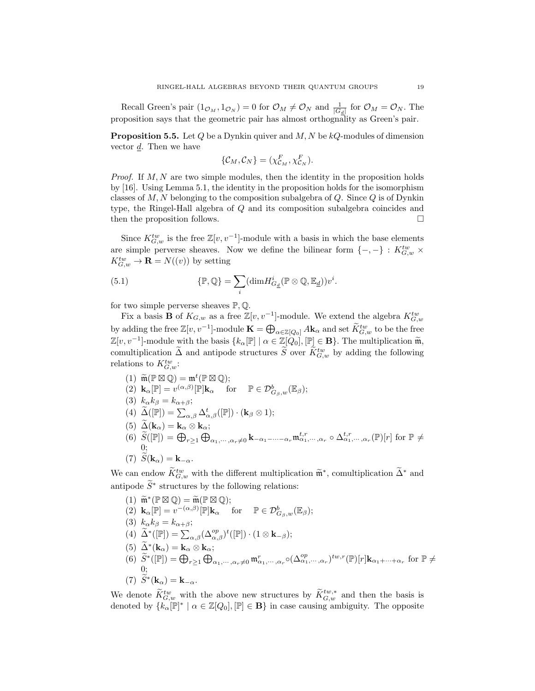Recall Green's pair  $(1_{\mathcal{O}_M}, 1_{\mathcal{O}_N}) = 0$  for  $\mathcal{O}_M \neq \mathcal{O}_N$  and  $\frac{1}{|G_d|}$  for  $\mathcal{O}_M = \mathcal{O}_N$ . The proposition says that the geometric pair has almost orthognality as Green's pair.

**Proposition 5.5.** Let  $Q$  be a Dynkin quiver and  $M, N$  be  $kQ$ -modules of dimension vector d. Then we have

$$
\{\mathcal{C}_M, \mathcal{C}_N\} = (\chi_{\mathcal{C}_M}^F, \chi_{\mathcal{C}_N}^F).
$$

*Proof.* If  $M, N$  are two simple modules, then the identity in the proposition holds by [16]. Using Lemma 5.1, the identity in the proposition holds for the isomorphism classes of  $M, N$  belonging to the composition subalgebra of  $Q$ . Since  $Q$  is of Dynkin type, the Ringel-Hall algebra of Q and its composition subalgebra coincides and then the proposition follows.

Since  $K_{G,w}^{tw}$  is the free  $\mathbb{Z}[v, v^{-1}]$ -module with a basis in which the base elements are simple perverse sheaves. Now we define the bilinear form  $\{-,-\} : K_{G,w}^{tw}$  ×  $K_{G,w}^{tw} \to \mathbf{R} = N((v))$  by setting

(5.1) 
$$
\{\mathbb{P},\mathbb{Q}\}=\sum_{i}(\text{dim}H_{G_{\underline{d}}}^{i}(\mathbb{P}\otimes\mathbb{Q},\mathbb{E}_{\underline{d}}))v^{i}.
$$

for two simple perverse sheaves  $\mathbb{P}, \mathbb{Q}.$ 

Fix a basis **B** of  $K_{G,w}$  as a free  $\mathbb{Z}[v, v^{-1}]$ -module. We extend the algebra  $K_{G,w}^{tw}$ by adding the free  $\mathbb{Z}[v, v^{-1}]$ -module  $\mathbf{K} = \bigoplus_{\alpha \in \mathbb{Z}[Q_0]} A \mathbf{k}_{\alpha}$  and set  $\widetilde{K}_{G,w}^{tw}$  to be the free  $\mathbb{Z}[v, v^{-1}]$ -module with the basis  $\{k_{\alpha}[\mathbb{P}] \mid \alpha \in \mathbb{Z}[Q_0], [\mathbb{P}] \in \mathbf{B}\}$ . The multiplication  $\widetilde{\mathfrak{m}}$ , comultiplication  $\tilde{\Delta}$  and antipode structures  $\tilde{S}$  over  $\tilde{K}_{G,w}^{tw}$  by adding the following relations to  $K_{G,w}^{tw}$ :

(1)  $\widetilde{\mathfrak{m}}(\mathbb{P}\boxtimes\mathbb{Q}) = \mathfrak{m}^t(\mathbb{P}\boxtimes\mathbb{Q});$ <br>(2)  $\mathbf{l}_r$   $[\mathbb{P}] = \mathfrak{m}^t(\alpha,\beta)$   $[\mathbb{P}]\mathbf{l}_r$   $[\alpha,\beta]$ (2)  $\mathbf{k}_{\alpha}[\mathbb{P}] = v^{(\alpha,\beta)}[\mathbb{P}]\mathbf{k}_{\alpha} \quad \text{ for } \quad \mathbb{P} \in \mathcal{D}^b_{G_{\beta},w}(\mathbb{E}_{\beta});$ (3)  $k_{\alpha}k_{\beta} = k_{\alpha+\beta};$ (4)  $\widetilde{\Delta}([\mathbb{P}]) = \sum_{\alpha,\beta} \Delta_{\alpha,\beta}^{t}([\mathbb{P}]) \cdot (\mathbf{k}_{\beta} \otimes 1);$ (5)  $\widetilde{\Delta}(\mathbf{k}_{\alpha}) = \mathbf{k}_{\alpha} \otimes \mathbf{k}_{\alpha};$ (6)  $\widetilde{S}(\mathbb{P}) = \bigoplus_{r \geq 1} \bigoplus_{\alpha_1, \cdots, \alpha_r \neq 0} \mathbf{k}_{-\alpha_1-\cdots-\alpha_r} \mathfrak{m}_{\alpha_1,\cdots,\alpha_r}^{t,r} \circ \Delta_{\alpha_1,\cdots,\alpha_r}^{t,r}(\mathbb{P})[r]$  for  $\mathbb{P} \neq$ 0; (7)  $S(\mathbf{k}_{\alpha}) = \mathbf{k}_{-\alpha}$ .

We can endow  $\widetilde{K}_{G,w}^{tw}$  with the different multiplication  $\widetilde{\mathfrak{m}}^*$ , comultiplication  $\widetilde{\Delta}^*$  and antipode  $\widetilde{S}^*$  structures by the following relations:

(1) 
$$
\widetilde{\mathfrak{m}}^*(\mathbb{P}\boxtimes \mathbb{Q}) = \widetilde{\mathfrak{m}}(\mathbb{P}\boxtimes \mathbb{Q});
$$
  
\n(2)  $\mathbf{k}_{\alpha}[\mathbb{P}] = v^{-(\alpha,\beta)}[\mathbb{P}]\mathbf{k}_{\alpha}$  for  $\mathbb{P} \in \mathcal{D}_{G_{\beta},w}^b(\mathbb{E}_{\beta});$   
\n(3)  $k_{\alpha}k_{\beta} = k_{\alpha+\beta};$   
\n(4)  $\widetilde{\Delta}^*([\mathbb{P}]) = \sum_{\alpha,\beta} (\Delta_{\alpha,\beta}^{op})^t([\mathbb{P}]) \cdot (1 \otimes \mathbf{k}_{-\beta});$   
\n(5)  $\widetilde{\Delta}^*(\mathbf{k}_{\alpha}) = \mathbf{k}_{\alpha} \otimes \mathbf{k}_{\alpha};$   
\n(6)  $\widetilde{S}^*([\mathbb{P}]) = \bigoplus_{r \geq 1} \bigoplus_{\alpha_1,\cdots,\alpha_r \neq 0} \mathfrak{m}_{\alpha_1,\cdots,\alpha_r}^r \circ (\Delta_{\alpha_1,\cdots,\alpha_r}^{op})^{tw,r}(\mathbb{P})[r]\mathbf{k}_{\alpha_1+\cdots+\alpha_r}$  for  $\mathbb{P} \neq 0;$   
\n(7)  $\widetilde{S}^*(\mathbf{k}_{\alpha}) = \mathbf{k}_{-\alpha}.$ 

We denote  $\widetilde{K}_{G,w}^{tw}$  with the above new structures by  $\widetilde{K}_{G,w}^{tw,*}$  and then the basis is denoted by  $\{k_{\alpha}[\mathbb{P}]^{*} \mid \alpha \in \mathbb{Z}[Q_0], [\mathbb{P}] \in \mathbf{B}\}\$  in case causing ambiguity. The opposite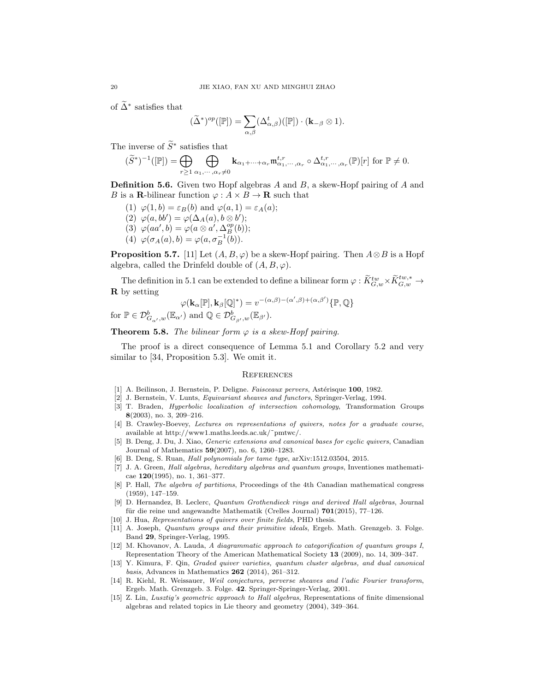of  $\tilde{\Delta}^*$  satisfies that

$$
(\widetilde{\Delta}^*)^{op}([\mathbb{P}]) = \sum_{\alpha,\beta} (\Delta_{\alpha,\beta}^t) ([\mathbb{P}]) \cdot (\mathbf{k}_{-\beta} \otimes 1).
$$

The inverse of  $\widetilde{S}^*$  satisfies that

$$
(\widetilde{S}^*)^{-1}([\mathbb{P}])=\bigoplus_{r\geq 1}\bigoplus_{\alpha_1,\cdots,\alpha_r\neq 0}\mathbf{k}_{\alpha_1+\cdots+\alpha_r}\mathfrak{m}_{\alpha_1,\cdots,\alpha_r}^{t,r}\circ\Delta_{\alpha_1,\cdots,\alpha_r}^{t,r}(\mathbb{P})[r]\text{ for }\mathbb{P}\neq 0.
$$

**Definition 5.6.** Given two Hopf algebras  $A$  and  $B$ , a skew-Hopf pairing of  $A$  and B is a **R**-bilinear function  $\varphi: A \times B \to \mathbf{R}$  such that

- (1)  $\varphi(1, b) = \varepsilon_B(b)$  and  $\varphi(a, 1) = \varepsilon_A(a)$ ;
- (2)  $\varphi(a, bb') = \varphi(\Delta_A(a), b \otimes b');$
- (3)  $\varphi(aa', b) = \varphi(a \otimes a', \Delta_B^{op}(b));$
- (4)  $\varphi(\sigma_A(a), b) = \varphi(a, \sigma_B^{-1}(b)).$

**Proposition 5.7.** [11] Let  $(A, B, \varphi)$  be a skew-Hopf pairing. Then  $A \otimes B$  is a Hopf algebra, called the Drinfeld double of  $(A, B, \varphi)$ .

The definition in 5.1 can be extended to define a bilinear form  $\varphi : \widetilde{K}^{tw}_{G,w} \times \widetilde{K}^{tw,*}_{G,w} \to$ R by setting

$$
\varphi(\mathbf{k}_{\alpha}[\mathbb{P}], \mathbf{k}_{\beta}[\mathbb{Q}]^*) = v^{-(\alpha,\beta)-(\alpha',\beta)+(\alpha,\beta')} \{\mathbb{P}, \mathbb{Q}\}
$$
  
for  $\mathbb{P} \in \mathcal{D}^b_{G_{\alpha'},w}(\mathbb{E}_{\alpha'})$  and  $\mathbb{Q} \in \mathcal{D}^b_{G_{\beta'},w}(\mathbb{E}_{\beta'})$ .

**Theorem 5.8.** The bilinear form  $\varphi$  is a skew-Hopf pairing.

The proof is a direct consequence of Lemma 5.1 and Corollary 5.2 and very similar to [34, Proposition 5.3]. We omit it.

# **REFERENCES**

- [1] A. Beilinson, J. Bernstein, P. Deligne. Faisceaux pervers, Astérisque 100, 1982.
- [2] J. Bernstein, V. Lunts, Equivariant sheaves and functors, Springer-Verlag, 1994.
- [3] T. Braden, Hyperbolic localization of intersection cohomology, Transformation Groups 8(2003), no. 3, 209–216.
- [4] B. Crawley-Boevey, Lectures on representations of quivers, notes for a graduate course, available at http://www1.maths.leeds.ac.uk/˜pmtwc/.
- [5] B. Deng, J. Du, J. Xiao, Generic extensions and canonical bases for cyclic quivers, Canadian Journal of Mathematics 59(2007), no. 6, 1260–1283.
- [6] B. Deng, S. Ruan, Hall polynomials for tame type, arXiv:1512.03504, 2015.
- [7] J. A. Green, Hall algebras, hereditary algebras and quantum groups, Inventiones mathematicae 120(1995), no. 1, 361–377.
- [8] P. Hall, The algebra of partitions, Proceedings of the 4th Canadian mathematical congress (1959), 147–159.
- [9] D. Hernandez, B. Leclerc, Quantum Grothendieck rings and derived Hall algebras, Journal für die reine und angewandte Mathematik (Crelles Journal)  $701(2015)$ ,  $77-126$ .
- [10] J. Hua, *Representations of quivers over finite fields*, PHD thesis.
- [11] A. Joseph, Quantum groups and their primitive ideals, Ergeb. Math. Grenzgeb. 3. Folge. Band 29, Springer-Verlag, 1995.
- [12] M. Khovanov, A. Lauda, A diagrammatic approach to categorification of quantum groups I, Representation Theory of the American Mathematical Society 13 (2009), no. 14, 309–347.
- [13] Y. Kimura, F. Qin, Graded quiver varieties, quantum cluster algebras, and dual canonical basis, Advances in Mathematics 262 (2014), 261–312.
- [14] R. Kiehl, R. Weissauer, Weil conjectures, perverse sheaves and l'adic Fourier transform, Ergeb. Math. Grenzgeb. 3. Folge. 42. Springer-Springer-Verlag, 2001.
- [15] Z. Lin, Lusztig's geometric approach to Hall algebras, Representations of finite dimensional algebras and related topics in Lie theory and geometry (2004), 349–364.